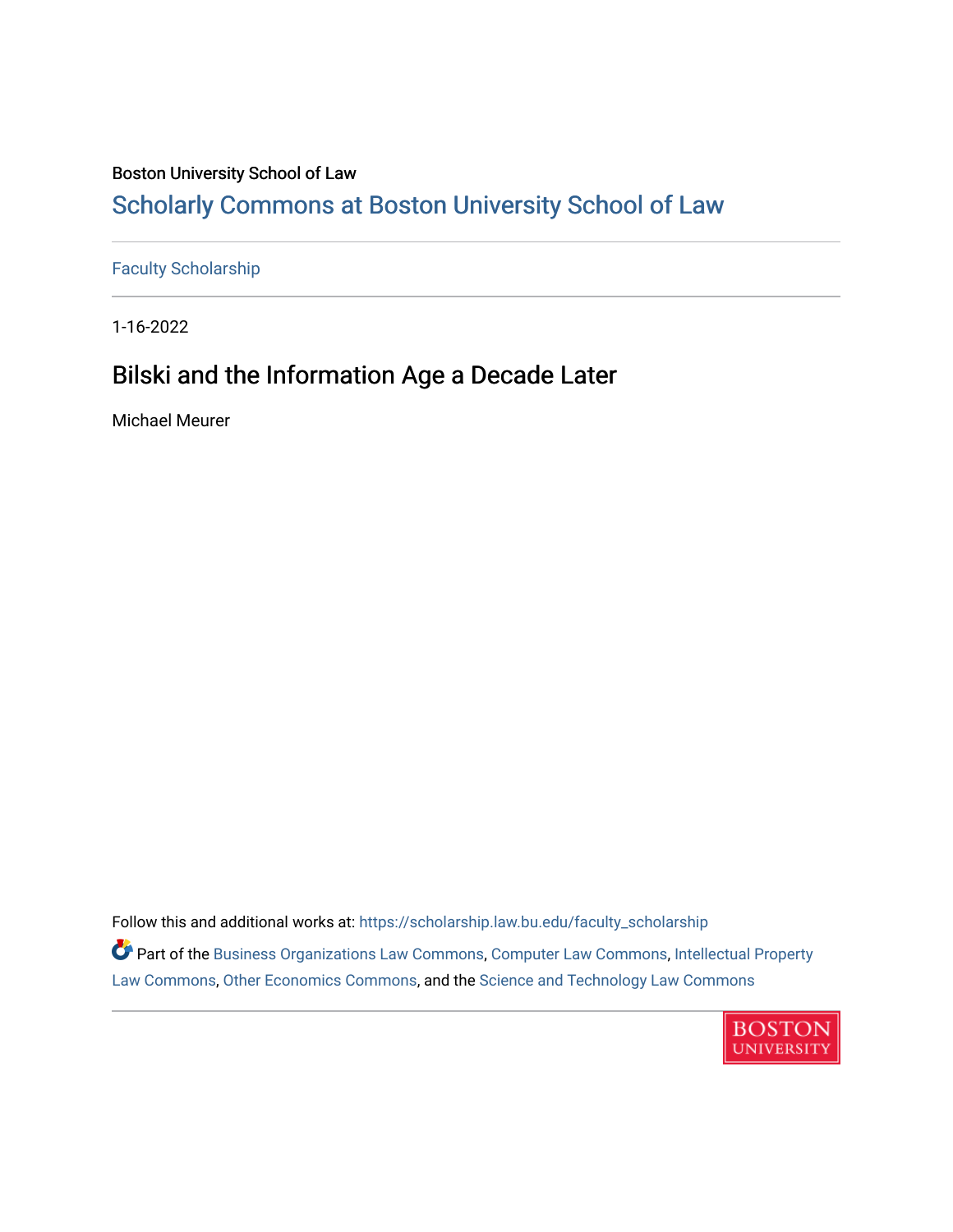## Boston University School of Law

# [Scholarly Commons at Boston University School of Law](https://scholarship.law.bu.edu/)

[Faculty Scholarship](https://scholarship.law.bu.edu/faculty_scholarship)

1-16-2022

# Bilski and the Information Age a Decade Later

Michael Meurer

Follow this and additional works at: [https://scholarship.law.bu.edu/faculty\\_scholarship](https://scholarship.law.bu.edu/faculty_scholarship?utm_source=scholarship.law.bu.edu%2Ffaculty_scholarship%2F1386&utm_medium=PDF&utm_campaign=PDFCoverPages) Part of the [Business Organizations Law Commons](http://network.bepress.com/hgg/discipline/900?utm_source=scholarship.law.bu.edu%2Ffaculty_scholarship%2F1386&utm_medium=PDF&utm_campaign=PDFCoverPages), [Computer Law Commons](http://network.bepress.com/hgg/discipline/837?utm_source=scholarship.law.bu.edu%2Ffaculty_scholarship%2F1386&utm_medium=PDF&utm_campaign=PDFCoverPages), [Intellectual Property](http://network.bepress.com/hgg/discipline/896?utm_source=scholarship.law.bu.edu%2Ffaculty_scholarship%2F1386&utm_medium=PDF&utm_campaign=PDFCoverPages)  [Law Commons,](http://network.bepress.com/hgg/discipline/896?utm_source=scholarship.law.bu.edu%2Ffaculty_scholarship%2F1386&utm_medium=PDF&utm_campaign=PDFCoverPages) [Other Economics Commons](http://network.bepress.com/hgg/discipline/353?utm_source=scholarship.law.bu.edu%2Ffaculty_scholarship%2F1386&utm_medium=PDF&utm_campaign=PDFCoverPages), and the [Science and Technology Law Commons](http://network.bepress.com/hgg/discipline/875?utm_source=scholarship.law.bu.edu%2Ffaculty_scholarship%2F1386&utm_medium=PDF&utm_campaign=PDFCoverPages)

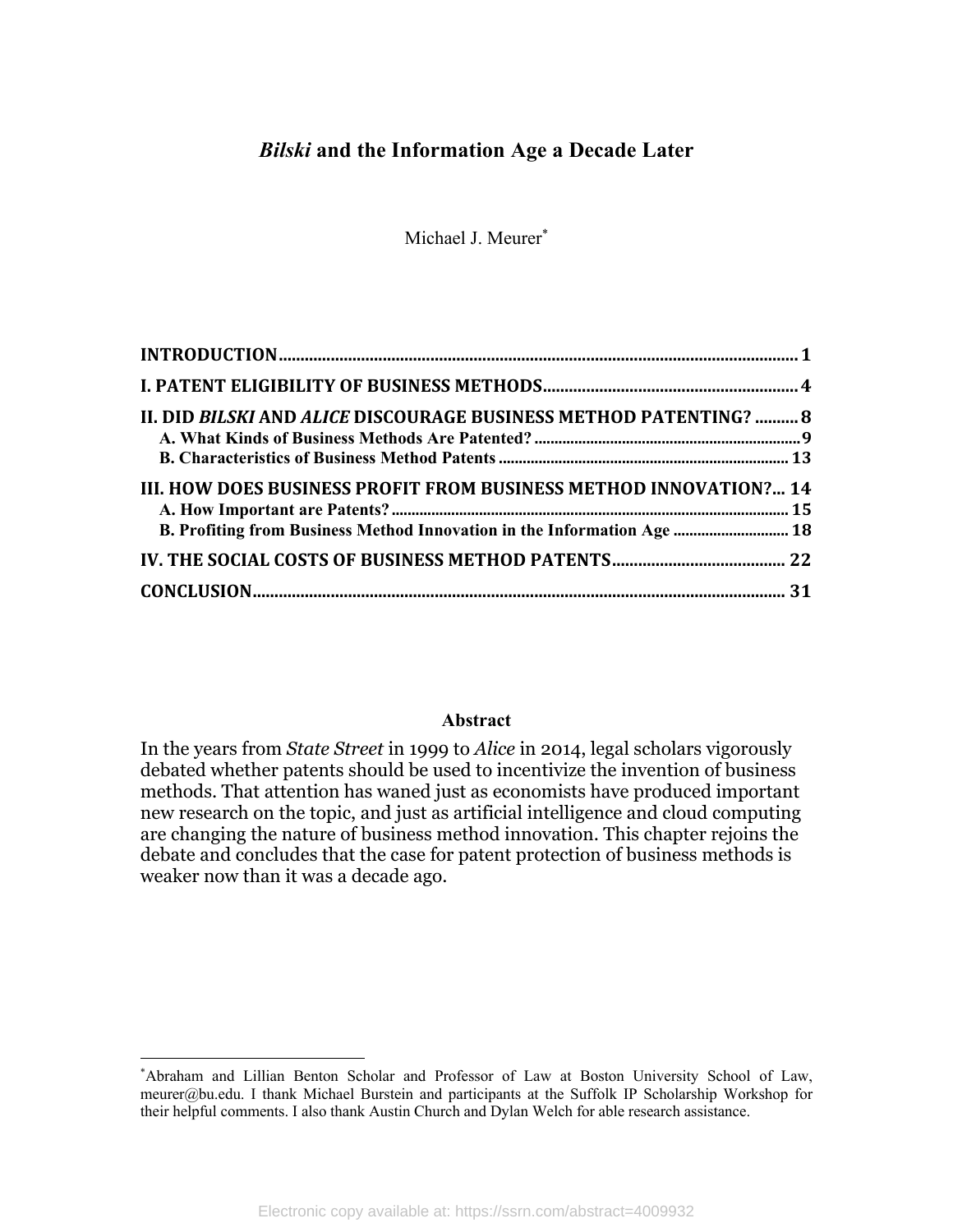# *Bilski* **and the Information Age a Decade Later**

Michael J. Meurer\*

| II. DID BILSKI AND ALICE DISCOURAGE BUSINESS METHOD PATENTING?  8       |  |
|-------------------------------------------------------------------------|--|
|                                                                         |  |
| III. HOW DOES BUSINESS PROFIT FROM BUSINESS METHOD INNOVATION? 14       |  |
|                                                                         |  |
| B. Profiting from Business Method Innovation in the Information Age  18 |  |
|                                                                         |  |
|                                                                         |  |

#### **Abstract**

In the years from *State Street* in 1999 to *Alice* in 2014, legal scholars vigorously debated whether patents should be used to incentivize the invention of business methods. That attention has waned just as economists have produced important new research on the topic, and just as artificial intelligence and cloud computing are changing the nature of business method innovation. This chapter rejoins the debate and concludes that the case for patent protection of business methods is weaker now than it was a decade ago.

<sup>\*</sup> Abraham and Lillian Benton Scholar and Professor of Law at Boston University School of Law, meurer@bu.edu. I thank Michael Burstein and participants at the Suffolk IP Scholarship Workshop for their helpful comments. I also thank Austin Church and Dylan Welch for able research assistance.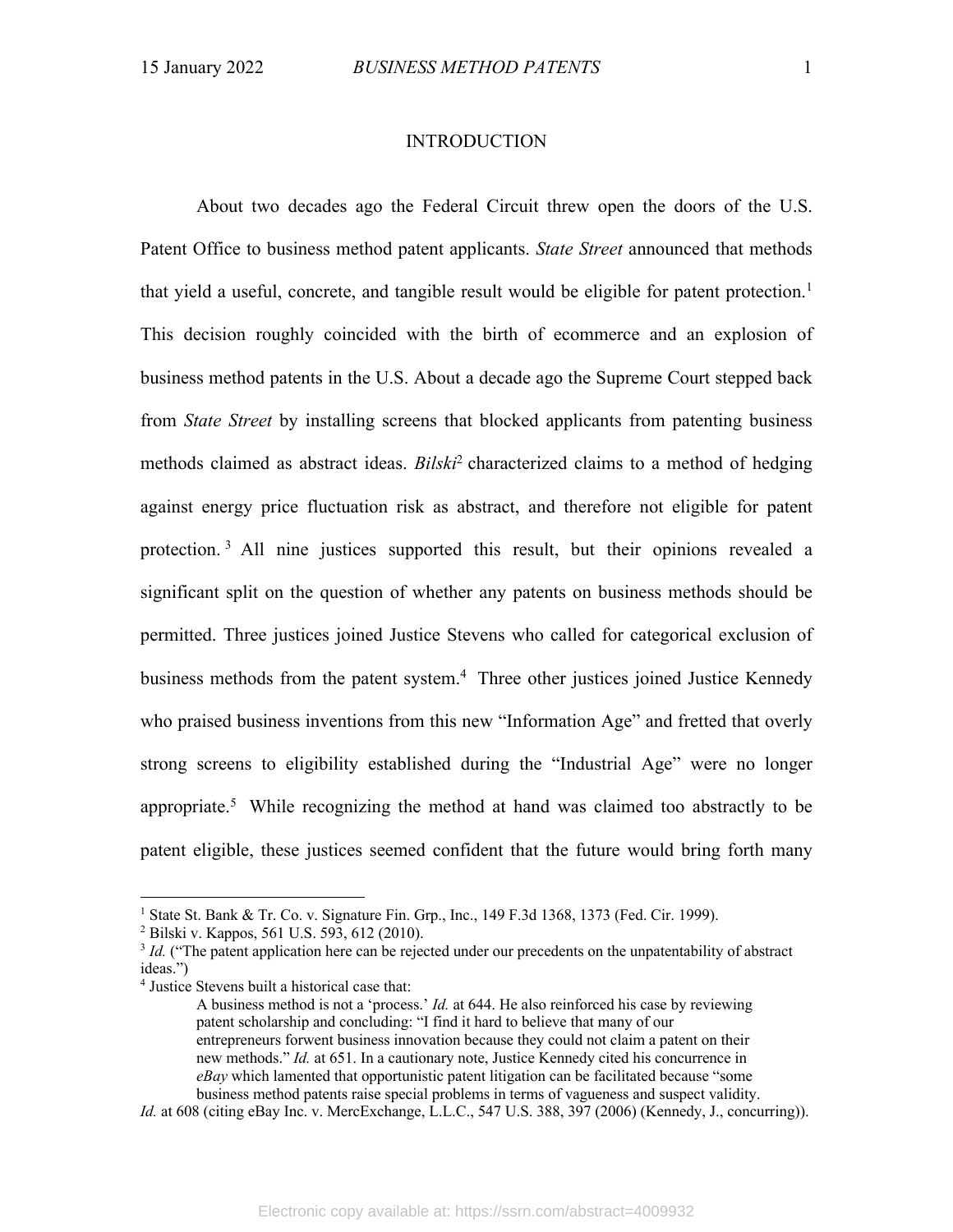#### INTRODUCTION

About two decades ago the Federal Circuit threw open the doors of the U.S. Patent Office to business method patent applicants. *State Street* announced that methods that yield a useful, concrete, and tangible result would be eligible for patent protection.<sup>1</sup> This decision roughly coincided with the birth of ecommerce and an explosion of business method patents in the U.S. About a decade ago the Supreme Court stepped back from *State Street* by installing screens that blocked applicants from patenting business methods claimed as abstract ideas. *Bilski*<sup>2</sup> characterized claims to a method of hedging against energy price fluctuation risk as abstract, and therefore not eligible for patent protection. <sup>3</sup> All nine justices supported this result, but their opinions revealed a significant split on the question of whether any patents on business methods should be permitted. Three justices joined Justice Stevens who called for categorical exclusion of business methods from the patent system.<sup>4</sup> Three other justices joined Justice Kennedy who praised business inventions from this new "Information Age" and fretted that overly strong screens to eligibility established during the "Industrial Age" were no longer appropriate.5 While recognizing the method at hand was claimed too abstractly to be patent eligible, these justices seemed confident that the future would bring forth many

*Id.* at 608 (citing eBay Inc. v. MercExchange, L.L.C., 547 U.S. 388, 397 (2006) (Kennedy, J., concurring)).

<sup>&</sup>lt;sup>1</sup> State St. Bank & Tr. Co. v. Signature Fin. Grp., Inc., 149 F.3d 1368, 1373 (Fed. Cir. 1999).

<sup>2</sup> Bilski v. Kappos, 561 U.S. 593, 612 (2010).

<sup>&</sup>lt;sup>3</sup> *Id.* ("The patent application here can be rejected under our precedents on the unpatentability of abstract ideas.")

<sup>4</sup> Justice Stevens built a historical case that:

A business method is not a 'process.' *Id.* at 644. He also reinforced his case by reviewing patent scholarship and concluding: "I find it hard to believe that many of our entrepreneurs forwent business innovation because they could not claim a patent on their new methods." *Id.* at 651. In a cautionary note, Justice Kennedy cited his concurrence in *eBay* which lamented that opportunistic patent litigation can be facilitated because "some business method patents raise special problems in terms of vagueness and suspect validity.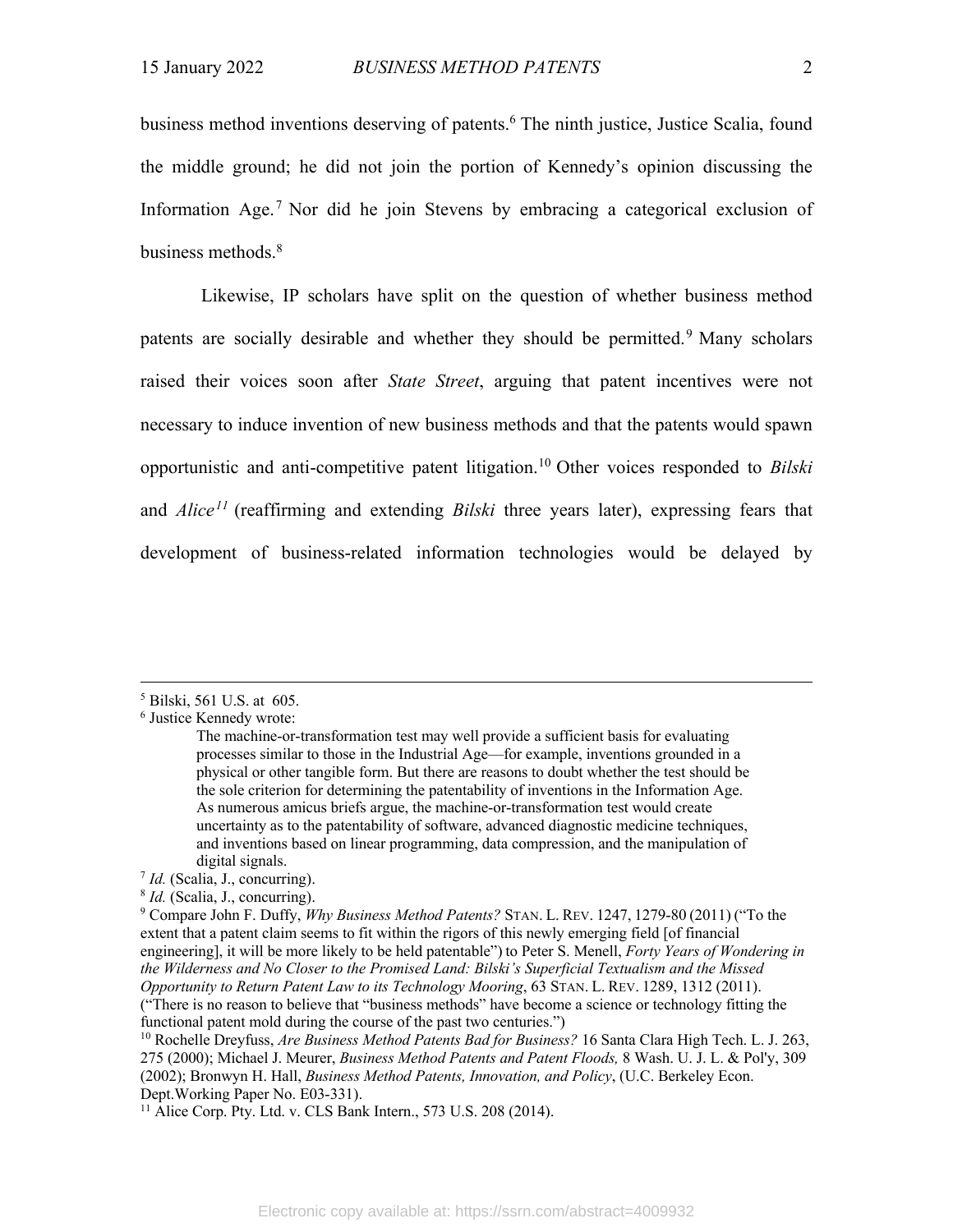business method inventions deserving of patents.<sup>6</sup> The ninth justice, Justice Scalia, found the middle ground; he did not join the portion of Kennedy's opinion discussing the Information Age.<sup>7</sup> Nor did he join Stevens by embracing a categorical exclusion of business methods.<sup>8</sup>

Likewise, IP scholars have split on the question of whether business method patents are socially desirable and whether they should be permitted.<sup>9</sup> Many scholars raised their voices soon after *State Street*, arguing that patent incentives were not necessary to induce invention of new business methods and that the patents would spawn opportunistic and anti-competitive patent litigation.10 Other voices responded to *Bilski* and *Alice11* (reaffirming and extending *Bilski* three years later), expressing fears that development of business-related information technologies would be delayed by

<sup>5</sup> Bilski, 561 U.S. at 605.

<sup>6</sup> Justice Kennedy wrote:

The machine-or-transformation test may well provide a sufficient basis for evaluating processes similar to those in the Industrial Age—for example, inventions grounded in a physical or other tangible form. But there are reasons to doubt whether the test should be the sole criterion for determining the patentability of inventions in the Information Age. As numerous amicus briefs argue, the machine-or-transformation test would create uncertainty as to the patentability of software, advanced diagnostic medicine techniques, and inventions based on linear programming, data compression, and the manipulation of digital signals.

<sup>7</sup> *Id.* (Scalia, J., concurring).

<sup>8</sup> *Id.* (Scalia, J., concurring).

<sup>9</sup> Compare John F. Duffy, *Why Business Method Patents?* STAN. L. REV. 1247, 1279-80 (2011) ("To the extent that a patent claim seems to fit within the rigors of this newly emerging field [of financial engineering], it will be more likely to be held patentable") to Peter S. Menell, *Forty Years of Wondering in the Wilderness and No Closer to the Promised Land: Bilski's Superficial Textualism and the Missed Opportunity to Return Patent Law to its Technology Mooring*, 63 STAN. L. REV. 1289, 1312 (2011). ("There is no reason to believe that "business methods" have become a science or technology fitting the

functional patent mold during the course of the past two centuries.")

<sup>10</sup> Rochelle Dreyfuss, *Are Business Method Patents Bad for Business?* 16 Santa Clara High Tech. L. J. 263, 275 (2000); Michael J. Meurer, *Business Method Patents and Patent Floods,* 8 Wash. U. J. L. & Pol'y, 309 (2002); Bronwyn H. Hall, *Business Method Patents, Innovation, and Policy*, (U.C. Berkeley Econ. Dept.Working Paper No. E03-331).

 $11$  Alice Corp. Pty. Ltd. v. CLS Bank Intern., 573 U.S. 208 (2014).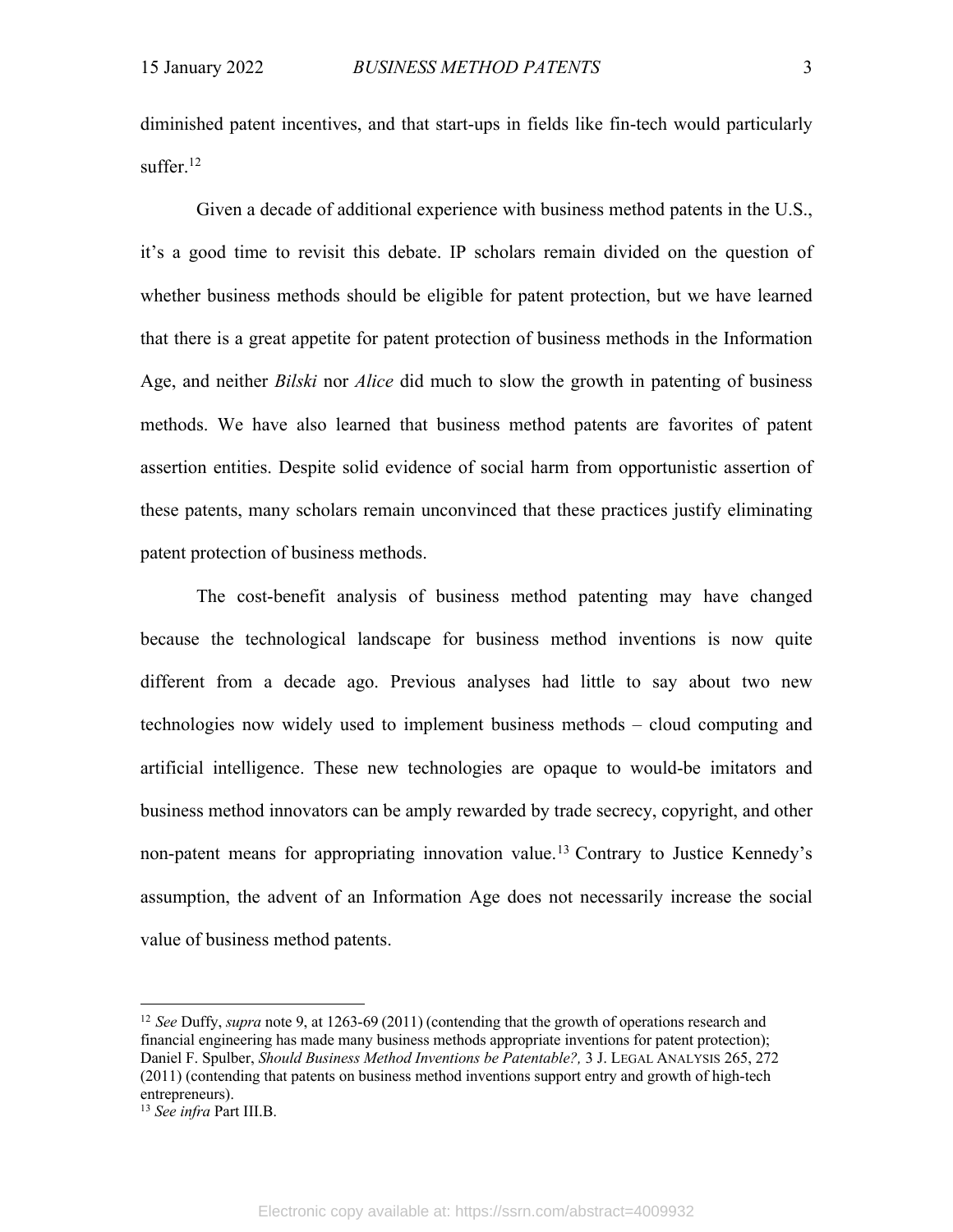diminished patent incentives, and that start-ups in fields like fin-tech would particularly suffer.<sup>12</sup>

Given a decade of additional experience with business method patents in the U.S., it's a good time to revisit this debate. IP scholars remain divided on the question of whether business methods should be eligible for patent protection, but we have learned that there is a great appetite for patent protection of business methods in the Information Age, and neither *Bilski* nor *Alice* did much to slow the growth in patenting of business methods. We have also learned that business method patents are favorites of patent assertion entities. Despite solid evidence of social harm from opportunistic assertion of these patents, many scholars remain unconvinced that these practices justify eliminating patent protection of business methods.

The cost-benefit analysis of business method patenting may have changed because the technological landscape for business method inventions is now quite different from a decade ago. Previous analyses had little to say about two new technologies now widely used to implement business methods – cloud computing and artificial intelligence. These new technologies are opaque to would-be imitators and business method innovators can be amply rewarded by trade secrecy, copyright, and other non-patent means for appropriating innovation value. <sup>13</sup> Contrary to Justice Kennedy's assumption, the advent of an Information Age does not necessarily increase the social value of business method patents.

<sup>12</sup> *See* Duffy, *supra* note 9, at 1263-69 (2011) (contending that the growth of operations research and financial engineering has made many business methods appropriate inventions for patent protection); Daniel F. Spulber, *Should Business Method Inventions be Patentable?,* 3 J. LEGAL ANALYSIS 265, 272 (2011) (contending that patents on business method inventions support entry and growth of high-tech entrepreneurs).

<sup>13</sup> *See infra* Part III.B.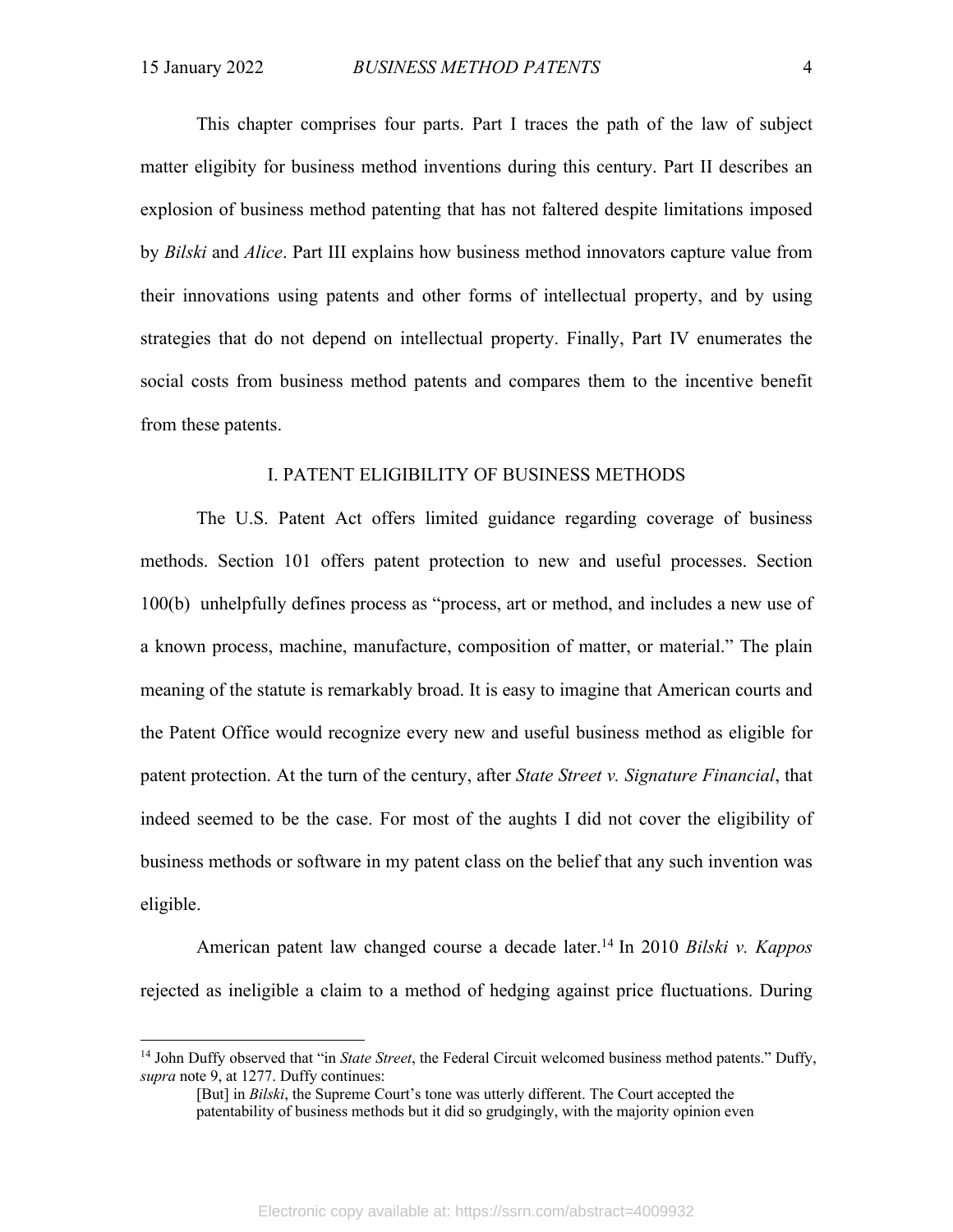This chapter comprises four parts. Part I traces the path of the law of subject matter eligibity for business method inventions during this century. Part II describes an explosion of business method patenting that has not faltered despite limitations imposed by *Bilski* and *Alice*. Part III explains how business method innovators capture value from their innovations using patents and other forms of intellectual property, and by using strategies that do not depend on intellectual property. Finally, Part IV enumerates the social costs from business method patents and compares them to the incentive benefit from these patents.

#### I. PATENT ELIGIBILITY OF BUSINESS METHODS

The U.S. Patent Act offers limited guidance regarding coverage of business methods. Section 101 offers patent protection to new and useful processes. Section 100(b) unhelpfully defines process as "process, art or method, and includes a new use of a known process, machine, manufacture, composition of matter, or material." The plain meaning of the statute is remarkably broad. It is easy to imagine that American courts and the Patent Office would recognize every new and useful business method as eligible for patent protection. At the turn of the century, after *State Street v. Signature Financial*, that indeed seemed to be the case. For most of the aughts I did not cover the eligibility of business methods or software in my patent class on the belief that any such invention was eligible.

American patent law changed course a decade later. <sup>14</sup> In 2010 *Bilski v. Kappos* rejected as ineligible a claim to a method of hedging against price fluctuations. During

<sup>14</sup> John Duffy observed that "in *State Street*, the Federal Circuit welcomed business method patents." Duffy, *supra* note 9, at 1277. Duffy continues:

<sup>[</sup>But] in *Bilski*, the Supreme Court's tone was utterly different. The Court accepted the patentability of business methods but it did so grudgingly, with the majority opinion even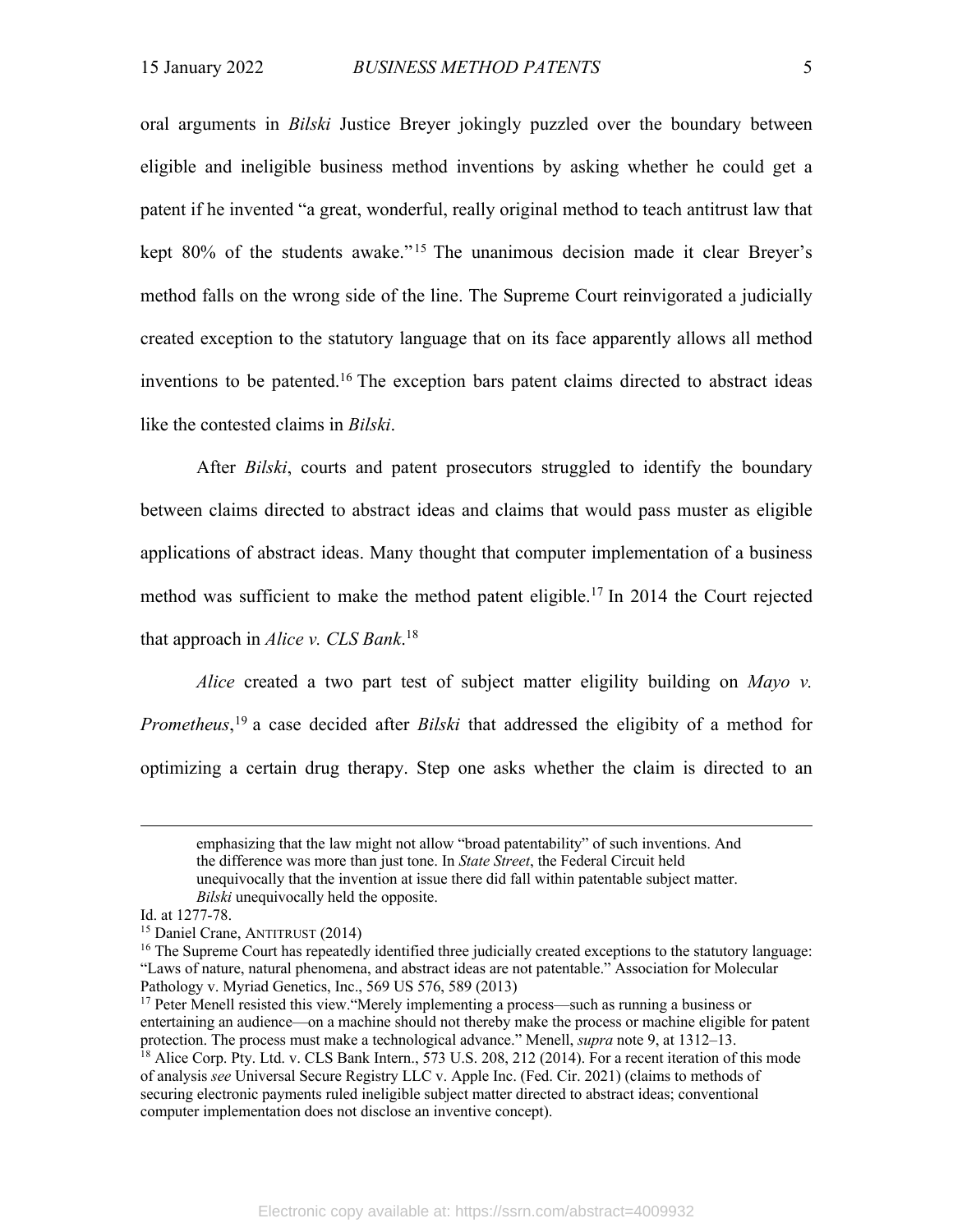oral arguments in *Bilski* Justice Breyer jokingly puzzled over the boundary between eligible and ineligible business method inventions by asking whether he could get a patent if he invented "a great, wonderful, really original method to teach antitrust law that kept 80% of the students awake."15 The unanimous decision made it clear Breyer's method falls on the wrong side of the line. The Supreme Court reinvigorated a judicially created exception to the statutory language that on its face apparently allows all method inventions to be patented.<sup>16</sup> The exception bars patent claims directed to abstract ideas like the contested claims in *Bilski*.

After *Bilski*, courts and patent prosecutors struggled to identify the boundary between claims directed to abstract ideas and claims that would pass muster as eligible applications of abstract ideas. Many thought that computer implementation of a business method was sufficient to make the method patent eligible.<sup>17</sup> In 2014 the Court rejected that approach in *Alice v. CLS Bank*. 18

*Alice* created a two part test of subject matter eligility building on *Mayo v. Prometheus*, <sup>19</sup> a case decided after *Bilski* that addressed the eligibity of a method for optimizing a certain drug therapy. Step one asks whether the claim is directed to an

emphasizing that the law might not allow "broad patentability" of such inventions. And the difference was more than just tone. In *State Street*, the Federal Circuit held unequivocally that the invention at issue there did fall within patentable subject matter. *Bilski* unequivocally held the opposite.

Id. at 1277-78.

<sup>15</sup> Daniel Crane, ANTITRUST (2014)

<sup>&</sup>lt;sup>16</sup> The Supreme Court has repeatedly identified three judicially created exceptions to the statutory language: "Laws of nature, natural phenomena, and abstract ideas are not patentable." Association for Molecular Pathology v. Myriad Genetics, Inc., 569 US 576, 589 (2013)

<sup>&</sup>lt;sup>17</sup> Peter Menell resisted this view. "Merely implementing a process—such as running a business or entertaining an audience—on a machine should not thereby make the process or machine eligible for patent protection. The process must make a technological advance." Menell, *supra* note 9, at 1312–13.

<sup>&</sup>lt;sup>18</sup> Alice Corp. Pty. Ltd. v. CLS Bank Intern., 573 U.S. 208, 212 (2014). For a recent iteration of this mode of analysis *see* Universal Secure Registry LLC v. Apple Inc. (Fed. Cir. 2021) (claims to methods of securing electronic payments ruled ineligible subject matter directed to abstract ideas; conventional computer implementation does not disclose an inventive concept).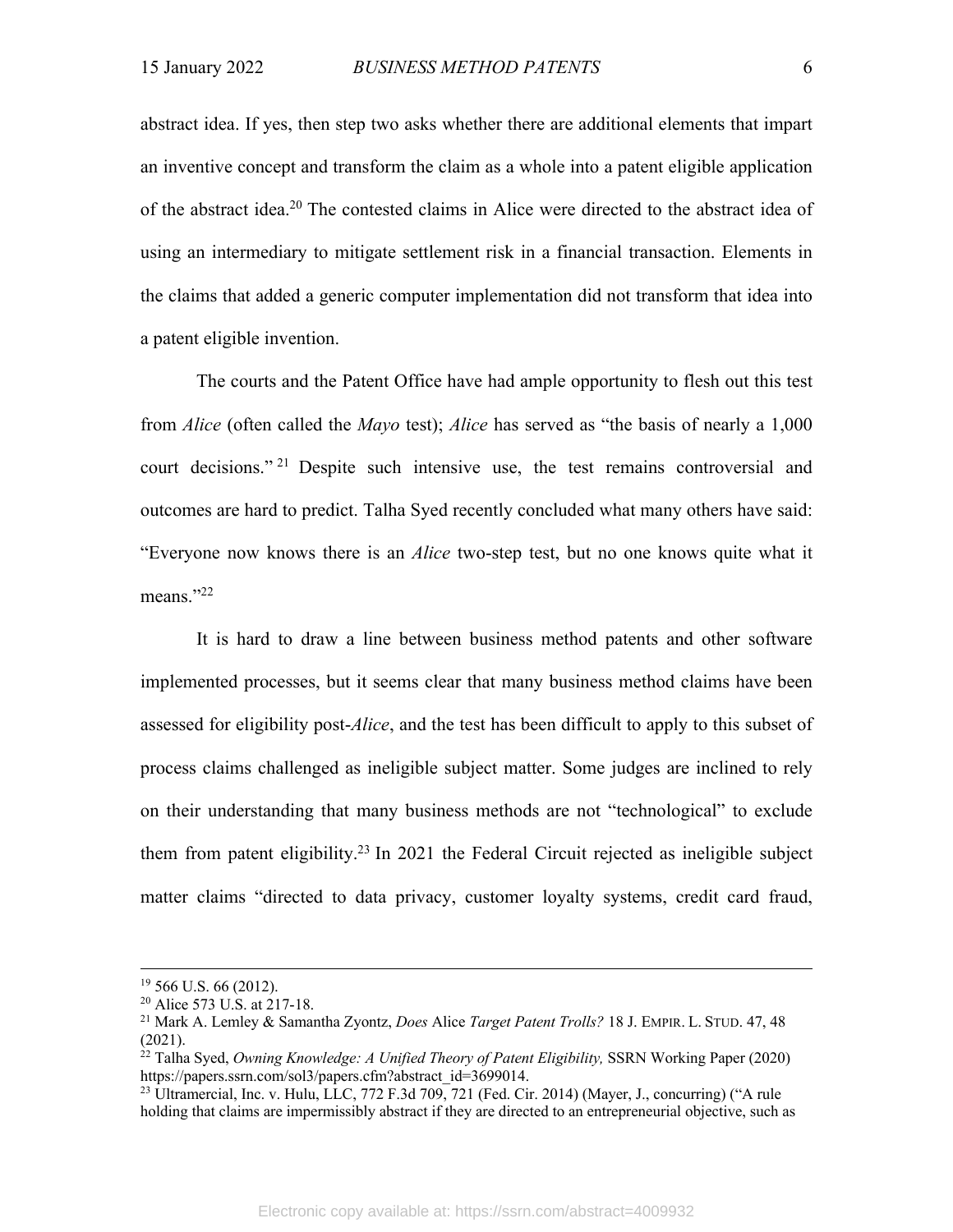abstract idea. If yes, then step two asks whether there are additional elements that impart an inventive concept and transform the claim as a whole into a patent eligible application of the abstract idea.20 The contested claims in Alice were directed to the abstract idea of using an intermediary to mitigate settlement risk in a financial transaction. Elements in the claims that added a generic computer implementation did not transform that idea into a patent eligible invention.

The courts and the Patent Office have had ample opportunity to flesh out this test from *Alice* (often called the *Mayo* test); *Alice* has served as "the basis of nearly a 1,000 court decisions." <sup>21</sup> Despite such intensive use, the test remains controversial and outcomes are hard to predict. Talha Syed recently concluded what many others have said: "Everyone now knows there is an *Alice* two-step test, but no one knows quite what it means."22

It is hard to draw a line between business method patents and other software implemented processes, but it seems clear that many business method claims have been assessed for eligibility post-*Alice*, and the test has been difficult to apply to this subset of process claims challenged as ineligible subject matter. Some judges are inclined to rely on their understanding that many business methods are not "technological" to exclude them from patent eligibility.<sup>23</sup> In 2021 the Federal Circuit rejected as ineligible subject matter claims "directed to data privacy, customer loyalty systems, credit card fraud,

<sup>19</sup> 566 U.S. 66 (2012).

<sup>20</sup> Alice 573 U.S. at 217-18.

<sup>21</sup> Mark A. Lemley & Samantha Zyontz, *Does* Alice *Target Patent Trolls?* 18 J. EMPIR. L. STUD. 47, 48 (2021).

<sup>22</sup> Talha Syed, *Owning Knowledge: A Unified Theory of Patent Eligibility,* SSRN Working Paper (2020) https://papers.ssrn.com/sol3/papers.cfm?abstract\_id=3699014.

<sup>&</sup>lt;sup>23</sup> Ultramercial, Inc. v. Hulu, LLC, 772 F.3d 709, 721 (Fed. Cir. 2014) (Mayer, J., concurring) ("A rule holding that claims are impermissibly abstract if they are directed to an entrepreneurial objective, such as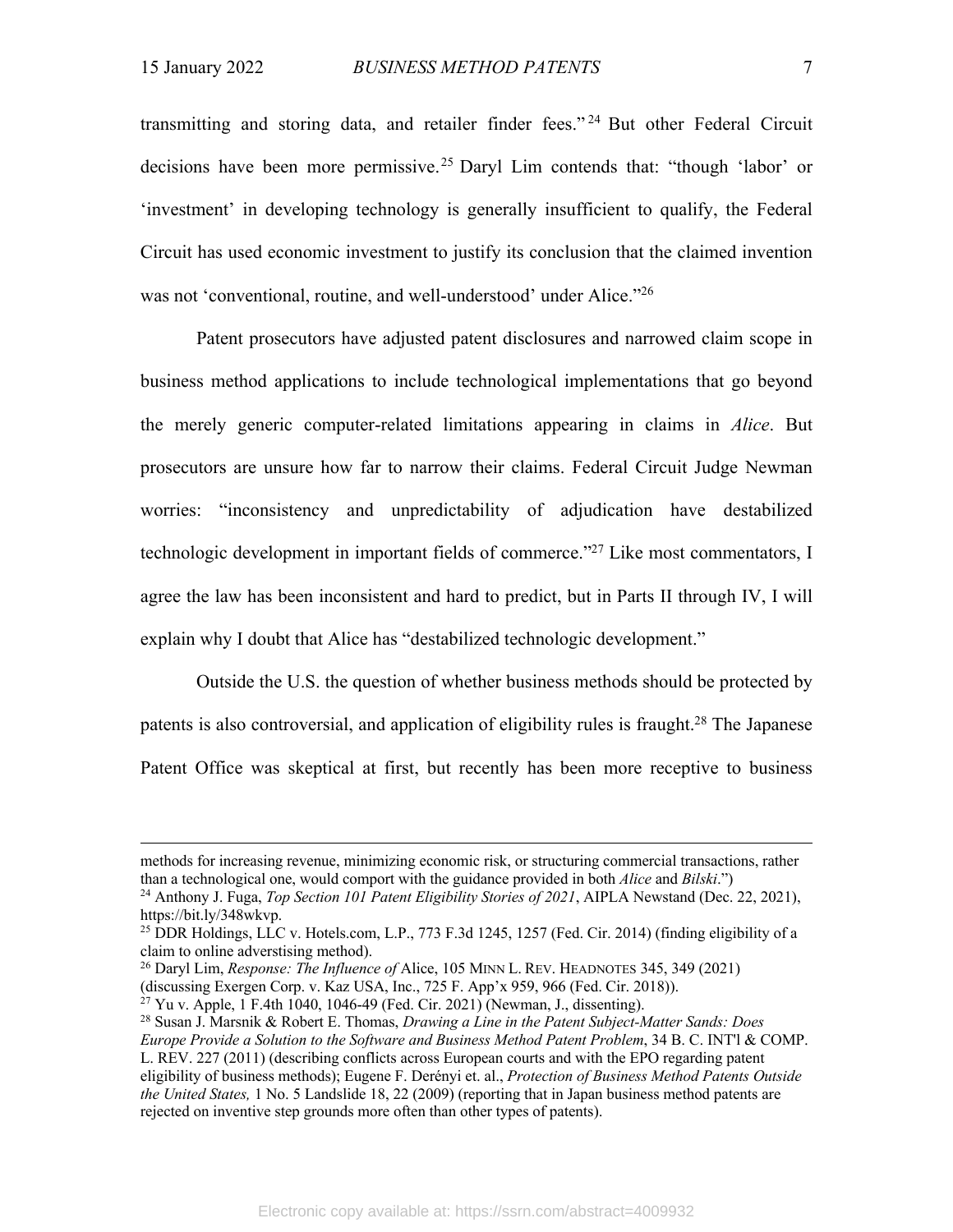transmitting and storing data, and retailer finder fees." <sup>24</sup> But other Federal Circuit decisions have been more permissive.25 Daryl Lim contends that: "though 'labor' or 'investment' in developing technology is generally insufficient to qualify, the Federal Circuit has used economic investment to justify its conclusion that the claimed invention was not 'conventional, routine, and well-understood' under Alice."<sup>26</sup>

Patent prosecutors have adjusted patent disclosures and narrowed claim scope in business method applications to include technological implementations that go beyond the merely generic computer-related limitations appearing in claims in *Alice*. But prosecutors are unsure how far to narrow their claims. Federal Circuit Judge Newman worries: "inconsistency and unpredictability of adjudication have destabilized technologic development in important fields of commerce."27 Like most commentators, I agree the law has been inconsistent and hard to predict, but in Parts II through IV, I will explain why I doubt that Alice has "destabilized technologic development."

Outside the U.S. the question of whether business methods should be protected by patents is also controversial, and application of eligibility rules is fraught.<sup>28</sup> The Japanese Patent Office was skeptical at first, but recently has been more receptive to business

<sup>26</sup> Daryl Lim, *Response: The Influence of* Alice, 105 MINN L. REV. HEADNOTES 345, 349 (2021) (discussing Exergen Corp. v. Kaz USA, Inc., 725 F. App'x 959, 966 (Fed. Cir. 2018)).

 $27$  Yu v. Apple, 1 F.4th 1040, 1046-49 (Fed. Cir. 2021) (Newman, J., dissenting).

methods for increasing revenue, minimizing economic risk, or structuring commercial transactions, rather than a technological one, would comport with the guidance provided in both *Alice* and *Bilski*.")

<sup>24</sup> Anthony J. Fuga, *Top Section 101 Patent Eligibility Stories of 2021*, AIPLA Newstand (Dec. 22, 2021), https://bit.ly/348wkvp.

<sup>&</sup>lt;sup>25</sup> DDR Holdings, LLC v. Hotels.com, L.P., 773 F.3d 1245, 1257 (Fed. Cir. 2014) (finding eligibility of a claim to online adverstising method).

<sup>28</sup> Susan J. Marsnik & Robert E. Thomas, *Drawing a Line in the Patent Subject-Matter Sands: Does Europe Provide a Solution to the Software and Business Method Patent Problem*, 34 B. C. INT'l & COMP. L. REV. 227 (2011) (describing conflicts across European courts and with the EPO regarding patent eligibility of business methods); Eugene F. Derényi et. al., *Protection of Business Method Patents Outside the United States,* 1 No. 5 Landslide 18, 22 (2009) (reporting that in Japan business method patents are rejected on inventive step grounds more often than other types of patents).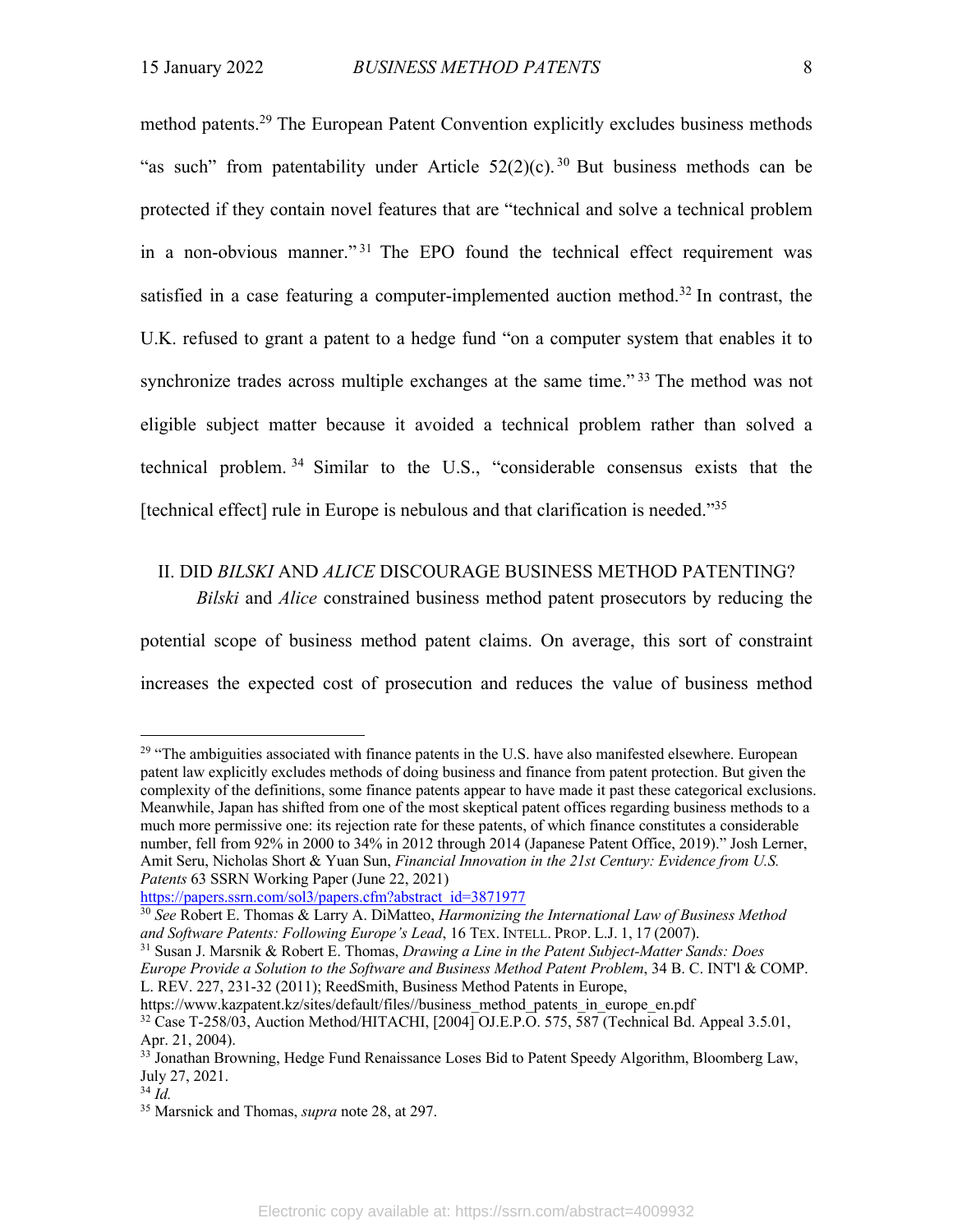method patents.<sup>29</sup> The European Patent Convention explicitly excludes business methods "as such" from patentability under Article  $52(2)(c)$ .<sup>30</sup> But business methods can be protected if they contain novel features that are "technical and solve a technical problem in a non-obvious manner."<sup>31</sup> The EPO found the technical effect requirement was satisfied in a case featuring a computer-implemented auction method.<sup>32</sup> In contrast, the U.K. refused to grant a patent to a hedge fund "on a computer system that enables it to synchronize trades across multiple exchanges at the same time."<sup>33</sup> The method was not eligible subject matter because it avoided a technical problem rather than solved a technical problem. <sup>34</sup> Similar to the U.S., "considerable consensus exists that the [technical effect] rule in Europe is nebulous and that clarification is needed."35

## II. DID *BILSKI* AND *ALICE* DISCOURAGE BUSINESS METHOD PATENTING?

*Bilski* and *Alice* constrained business method patent prosecutors by reducing the

potential scope of business method patent claims. On average, this sort of constraint increases the expected cost of prosecution and reduces the value of business method

 $29$  "The ambiguities associated with finance patents in the U.S. have also manifested elsewhere. European patent law explicitly excludes methods of doing business and finance from patent protection. But given the complexity of the definitions, some finance patents appear to have made it past these categorical exclusions. Meanwhile, Japan has shifted from one of the most skeptical patent offices regarding business methods to a much more permissive one: its rejection rate for these patents, of which finance constitutes a considerable number, fell from 92% in 2000 to 34% in 2012 through 2014 (Japanese Patent Office, 2019)." Josh Lerner, Amit Seru, Nicholas Short & Yuan Sun, *Financial Innovation in the 21st Century: Evidence from U.S. Patents* 63 SSRN Working Paper (June 22, 2021)

https://papers.ssrn.com/sol3/papers.cfm?abstract\_id=3871977

<sup>30</sup> *See* Robert E. Thomas & Larry A. DiMatteo, *Harmonizing the International Law of Business Method and Software Patents: Following Europe's Lead*, 16 TEX. INTELL. PROP. L.J. 1, 17 (2007).

<sup>31</sup> Susan J. Marsnik & Robert E. Thomas, *Drawing a Line in the Patent Subject-Matter Sands: Does Europe Provide a Solution to the Software and Business Method Patent Problem*, 34 B. C. INT'l & COMP. L. REV. 227, 231-32 (2011); ReedSmith, Business Method Patents in Europe,

https://www.kazpatent.kz/sites/default/files//business\_method\_patents\_in\_europe\_en.pdf <sup>32</sup> Case T-258/03, Auction Method/HITACHI, [2004] OJ.E.P.O. 575, 587 (Technical Bd. Appeal 3.5.01, Apr. 21, 2004).

<sup>&</sup>lt;sup>33</sup> Jonathan Browning, Hedge Fund Renaissance Loses Bid to Patent Speedy Algorithm, Bloomberg Law, July 27, 2021.

<sup>34</sup> *Id.*

<sup>35</sup> Marsnick and Thomas, *supra* note 28, at 297.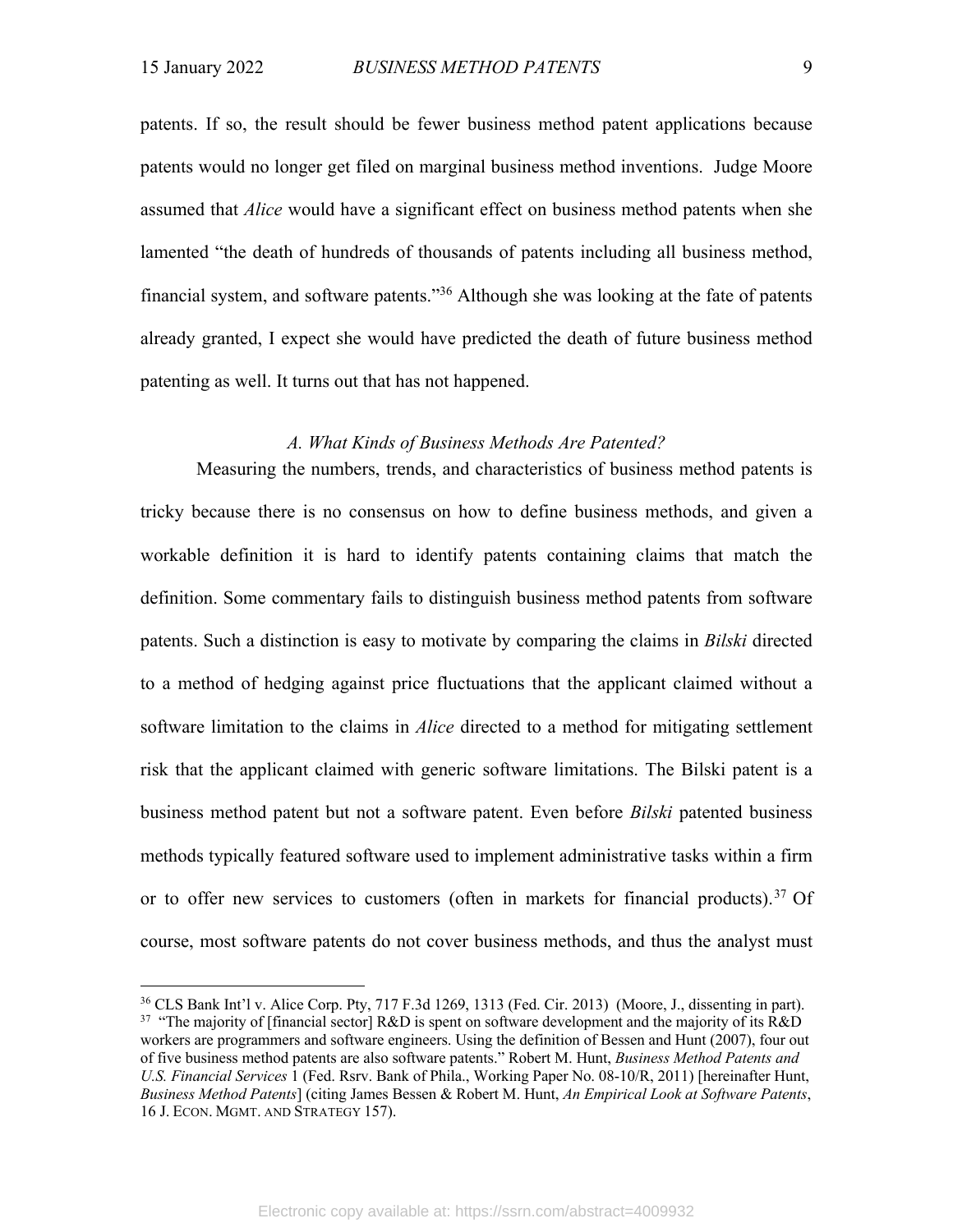patents. If so, the result should be fewer business method patent applications because patents would no longer get filed on marginal business method inventions. Judge Moore assumed that *Alice* would have a significant effect on business method patents when she lamented "the death of hundreds of thousands of patents including all business method, financial system, and software patents."36 Although she was looking at the fate of patents already granted, I expect she would have predicted the death of future business method patenting as well. It turns out that has not happened.

#### *A. What Kinds of Business Methods Are Patented?*

Measuring the numbers, trends, and characteristics of business method patents is tricky because there is no consensus on how to define business methods, and given a workable definition it is hard to identify patents containing claims that match the definition. Some commentary fails to distinguish business method patents from software patents. Such a distinction is easy to motivate by comparing the claims in *Bilski* directed to a method of hedging against price fluctuations that the applicant claimed without a software limitation to the claims in *Alice* directed to a method for mitigating settlement risk that the applicant claimed with generic software limitations. The Bilski patent is a business method patent but not a software patent. Even before *Bilski* patented business methods typically featured software used to implement administrative tasks within a firm or to offer new services to customers (often in markets for financial products).<sup>37</sup> Of course, most software patents do not cover business methods, and thus the analyst must

<sup>36</sup> CLS Bank Int'l v. Alice Corp. Pty, 717 F.3d 1269, 1313 (Fed. Cir. 2013) (Moore, J., dissenting in part). <sup>37</sup> "The majority of [financial sector] R&D is spent on software development and the majority of its R&D workers are programmers and software engineers. Using the definition of Bessen and Hunt (2007), four out of five business method patents are also software patents." Robert M. Hunt, *Business Method Patents and U.S. Financial Services* 1 (Fed. Rsrv. Bank of Phila., Working Paper No. 08-10/R, 2011) [hereinafter Hunt, *Business Method Patents*] (citing James Bessen & Robert M. Hunt, *An Empirical Look at Software Patents*, 16 J. ECON. MGMT. AND STRATEGY 157).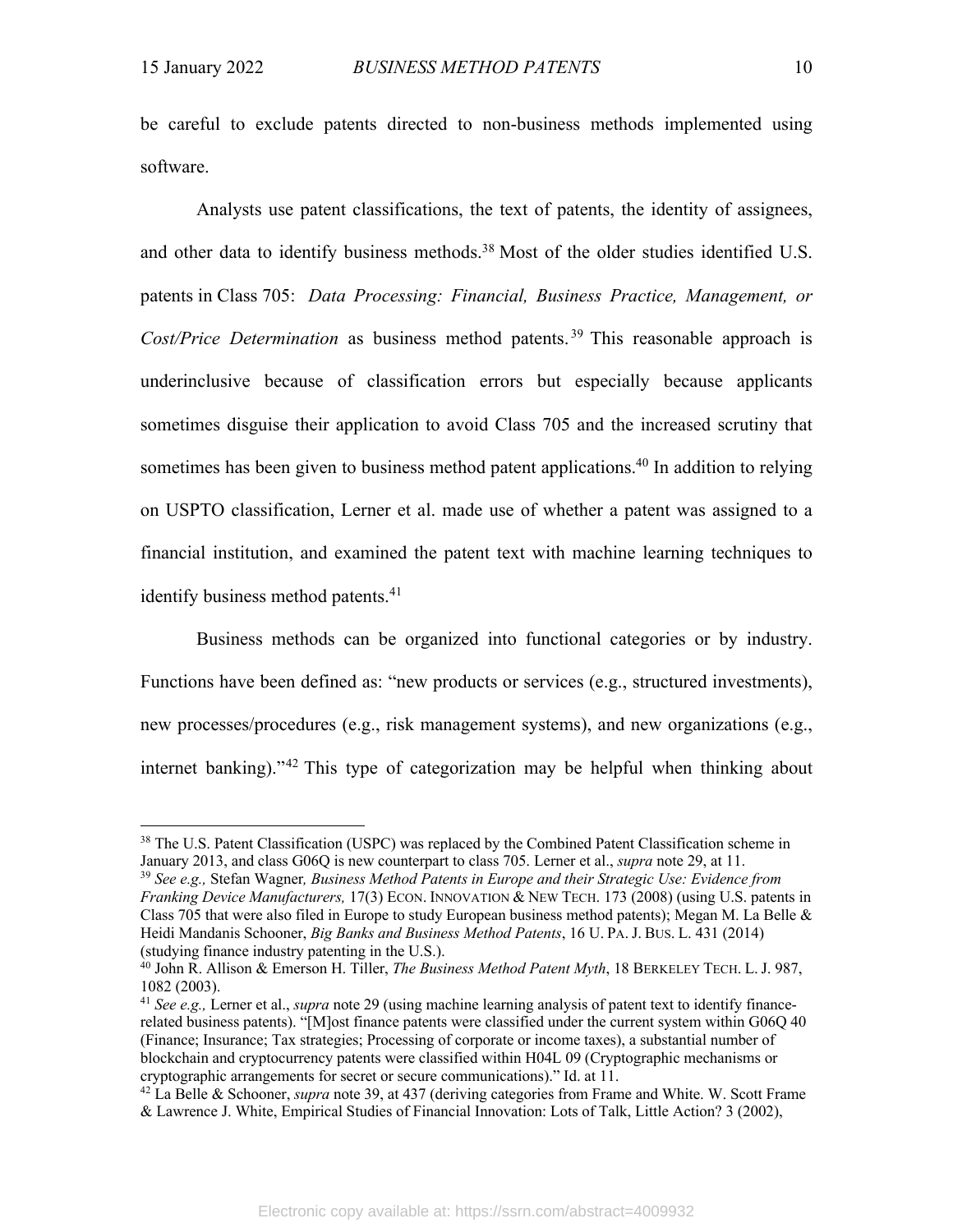be careful to exclude patents directed to non-business methods implemented using software.

Analysts use patent classifications, the text of patents, the identity of assignees, and other data to identify business methods.<sup>38</sup> Most of the older studies identified U.S. patents in Class 705: *Data Processing: Financial, Business Practice, Management, or Cost/Price Determination* as business method patents.<sup>39</sup> This reasonable approach is underinclusive because of classification errors but especially because applicants sometimes disguise their application to avoid Class 705 and the increased scrutiny that sometimes has been given to business method patent applications.<sup>40</sup> In addition to relying on USPTO classification, Lerner et al. made use of whether a patent was assigned to a financial institution, and examined the patent text with machine learning techniques to identify business method patents.<sup>41</sup>

Business methods can be organized into functional categories or by industry. Functions have been defined as: "new products or services (e.g., structured investments), new processes/procedures (e.g., risk management systems), and new organizations (e.g., internet banking)."42 This type of categorization may be helpful when thinking about

<sup>&</sup>lt;sup>38</sup> The U.S. Patent Classification (USPC) was replaced by the Combined Patent Classification scheme in January 2013, and class G06Q is new counterpart to class 705. Lerner et al., *supra* note 29, at 11.

<sup>39</sup> *See e.g.,* Stefan Wagner*, Business Method Patents in Europe and their Strategic Use: Evidence from Franking Device Manufacturers,* 17(3) ECON. INNOVATION & NEW TECH. 173 (2008) (using U.S. patents in Class 705 that were also filed in Europe to study European business method patents); Megan M. La Belle & Heidi Mandanis Schooner, *Big Banks and Business Method Patents*, 16 U. PA. J. BUS. L. 431 (2014) (studying finance industry patenting in the U.S.).

<sup>40</sup> John R. Allison & Emerson H. Tiller, *The Business Method Patent Myth*, 18 BERKELEY TECH. L. J. 987, 1082 (2003).

<sup>41</sup> *See e.g.,* Lerner et al., *supra* note 29 (using machine learning analysis of patent text to identify financerelated business patents). "[M]ost finance patents were classified under the current system within G06Q 40 (Finance; Insurance; Tax strategies; Processing of corporate or income taxes), a substantial number of blockchain and cryptocurrency patents were classified within H04L 09 (Cryptographic mechanisms or cryptographic arrangements for secret or secure communications)." Id. at 11. 42 La Belle & Schooner, *supra* note 39, at 437 (deriving categories from Frame and White. W. Scott Frame

<sup>&</sup>amp; Lawrence J. White, Empirical Studies of Financial Innovation: Lots of Talk, Little Action? 3 (2002),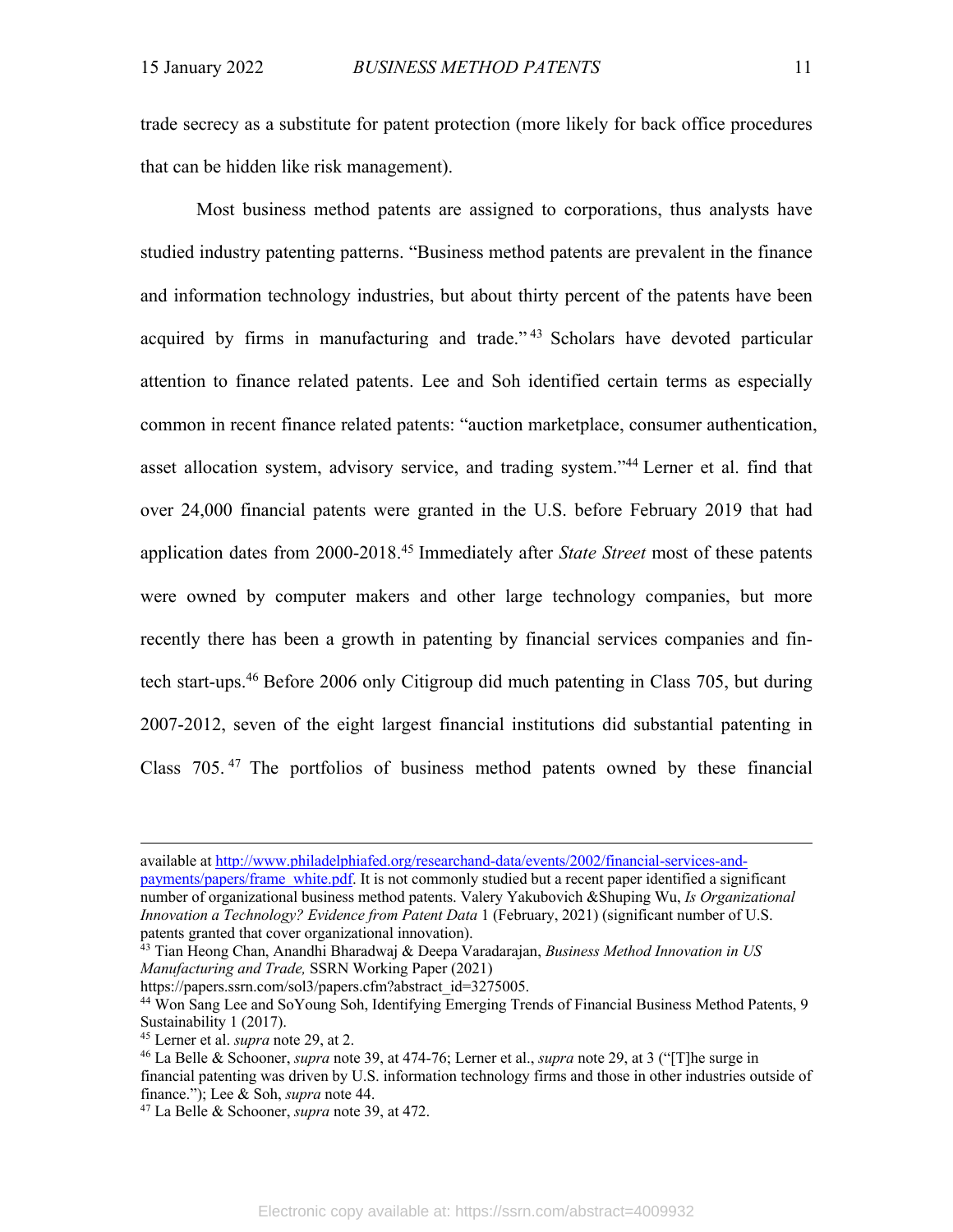trade secrecy as a substitute for patent protection (more likely for back office procedures that can be hidden like risk management).

Most business method patents are assigned to corporations, thus analysts have studied industry patenting patterns. "Business method patents are prevalent in the finance and information technology industries, but about thirty percent of the patents have been acquired by firms in manufacturing and trade."<sup>43</sup> Scholars have devoted particular attention to finance related patents. Lee and Soh identified certain terms as especially common in recent finance related patents: "auction marketplace, consumer authentication, asset allocation system, advisory service, and trading system."44 Lerner et al. find that over 24,000 financial patents were granted in the U.S. before February 2019 that had application dates from 2000-2018.45 Immediately after *State Street* most of these patents were owned by computer makers and other large technology companies, but more recently there has been a growth in patenting by financial services companies and fintech start-ups.46 Before 2006 only Citigroup did much patenting in Class 705, but during 2007-2012, seven of the eight largest financial institutions did substantial patenting in Class 705. <sup>47</sup> The portfolios of business method patents owned by these financial

available at http://www.philadelphiafed.org/researchand-data/events/2002/financial-services-and-

payments/papers/frame\_white.pdf. It is not commonly studied but a recent paper identified a significant number of organizational business method patents. Valery Yakubovich &Shuping Wu, *Is Organizational Innovation a Technology? Evidence from Patent Data* 1 (February, 2021) (significant number of U.S. patents granted that cover organizational innovation).

<sup>43</sup> Tian Heong Chan, Anandhi Bharadwaj & Deepa Varadarajan, *Business Method Innovation in US Manufacturing and Trade,* SSRN Working Paper (2021)

https://papers.ssrn.com/sol3/papers.cfm?abstract\_id=3275005.

<sup>44</sup> Won Sang Lee and SoYoung Soh, Identifying Emerging Trends of Financial Business Method Patents, 9 Sustainability 1 (2017).

<sup>45</sup> Lerner et al. *supra* note 29, at 2.

<sup>46</sup> La Belle & Schooner, *supra* note 39, at 474-76; Lerner et al., *supra* note 29, at 3 ("[T]he surge in financial patenting was driven by U.S. information technology firms and those in other industries outside of finance."); Lee & Soh, *supra* note 44. 47 La Belle & Schooner, *supra* note 39, at 472.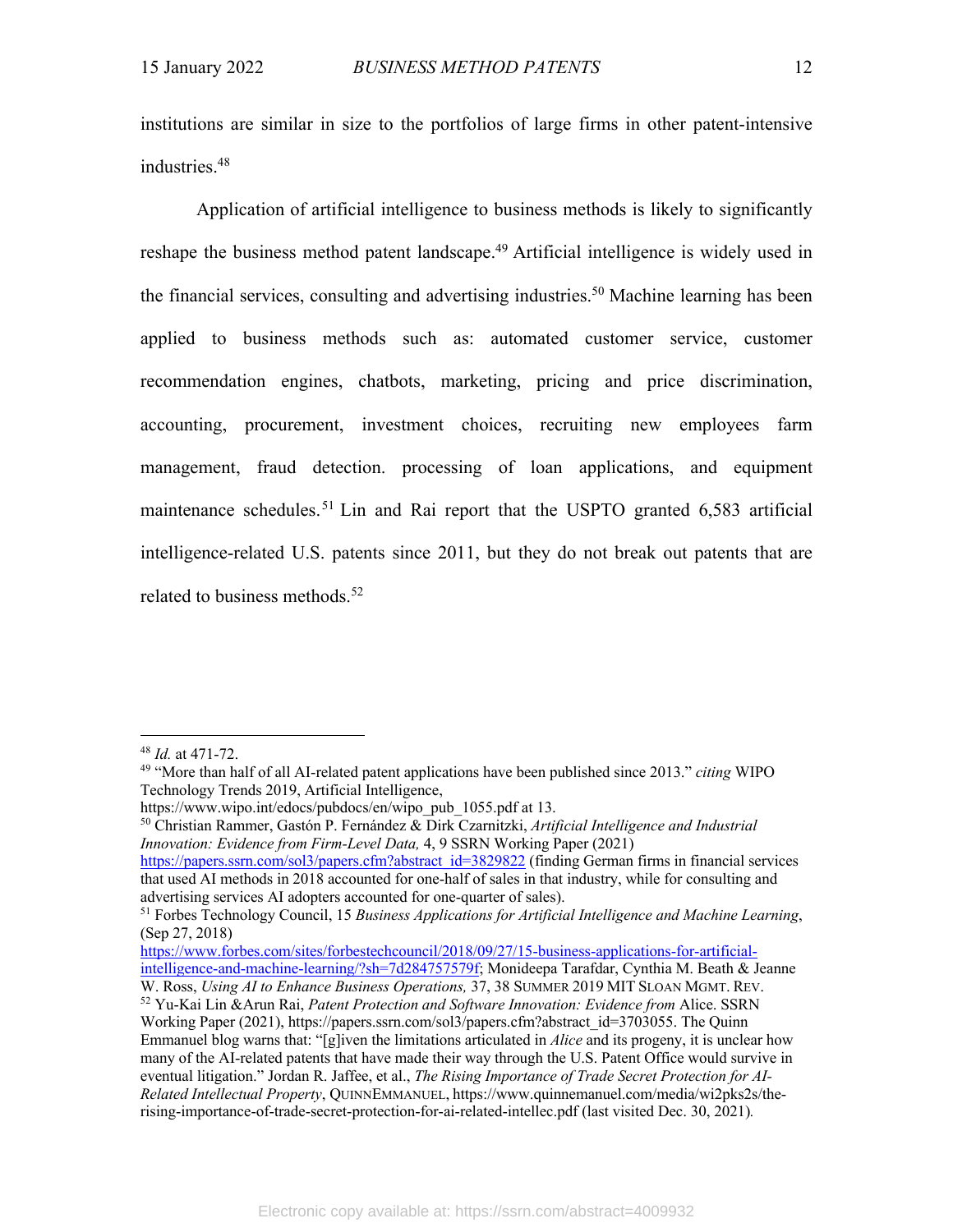institutions are similar in size to the portfolios of large firms in other patent-intensive industries. 48

Application of artificial intelligence to business methods is likely to significantly reshape the business method patent landscape.<sup>49</sup> Artificial intelligence is widely used in the financial services, consulting and advertising industries.<sup>50</sup> Machine learning has been applied to business methods such as: automated customer service, customer recommendation engines, chatbots, marketing, pricing and price discrimination, accounting, procurement, investment choices, recruiting new employees farm management, fraud detection. processing of loan applications, and equipment maintenance schedules.<sup>51</sup> Lin and Rai report that the USPTO granted 6,583 artificial intelligence-related U.S. patents since 2011, but they do not break out patents that are related to business methods.<sup>52</sup>

https://papers.ssrn.com/sol3/papers.cfm?abstract\_id=3829822 (finding German firms in financial services that used AI methods in 2018 accounted for one-half of sales in that industry, while for consulting and advertising services AI adopters accounted for one-quarter of sales).

<sup>48</sup> *Id.* at 471-72.

<sup>49</sup> "More than half of all AI-related patent applications have been published since 2013." *citing* WIPO Technology Trends 2019, Artificial Intelligence,

https://www.wipo.int/edocs/pubdocs/en/wipo\_pub\_1055.pdf at 13.

<sup>50</sup> Christian Rammer, Gastón P. Fernández & Dirk Czarnitzki, *Artificial Intelligence and Industrial Innovation: Evidence from Firm-Level Data,* 4, 9 SSRN Working Paper (2021)

<sup>51</sup> Forbes Technology Council, 15 *Business Applications for Artificial Intelligence and Machine Learning*, (Sep 27, 2018)

https://www.forbes.com/sites/forbestechcouncil/2018/09/27/15-business-applications-for-artificialintelligence-and-machine-learning/?sh=7d284757579f; Monideepa Tarafdar, Cynthia M. Beath & Jeanne W. Ross, *Using AI to Enhance Business Operations,* 37, 38 SUMMER 2019 MIT SLOAN MGMT. REV.

<sup>52</sup> Yu-Kai Lin &Arun Rai, *Patent Protection and Software Innovation: Evidence from* Alice. SSRN Working Paper (2021), https://papers.ssrn.com/sol3/papers.cfm?abstract\_id=3703055. The Quinn Emmanuel blog warns that: "[g]iven the limitations articulated in *Alice* and its progeny, it is unclear how many of the AI-related patents that have made their way through the U.S. Patent Office would survive in eventual litigation." Jordan R. Jaffee, et al., *The Rising Importance of Trade Secret Protection for AI-Related Intellectual Property*, QUINNEMMANUEL, https://www.quinnemanuel.com/media/wi2pks2s/therising-importance-of-trade-secret-protection-for-ai-related-intellec.pdf (last visited Dec. 30, 2021)*.*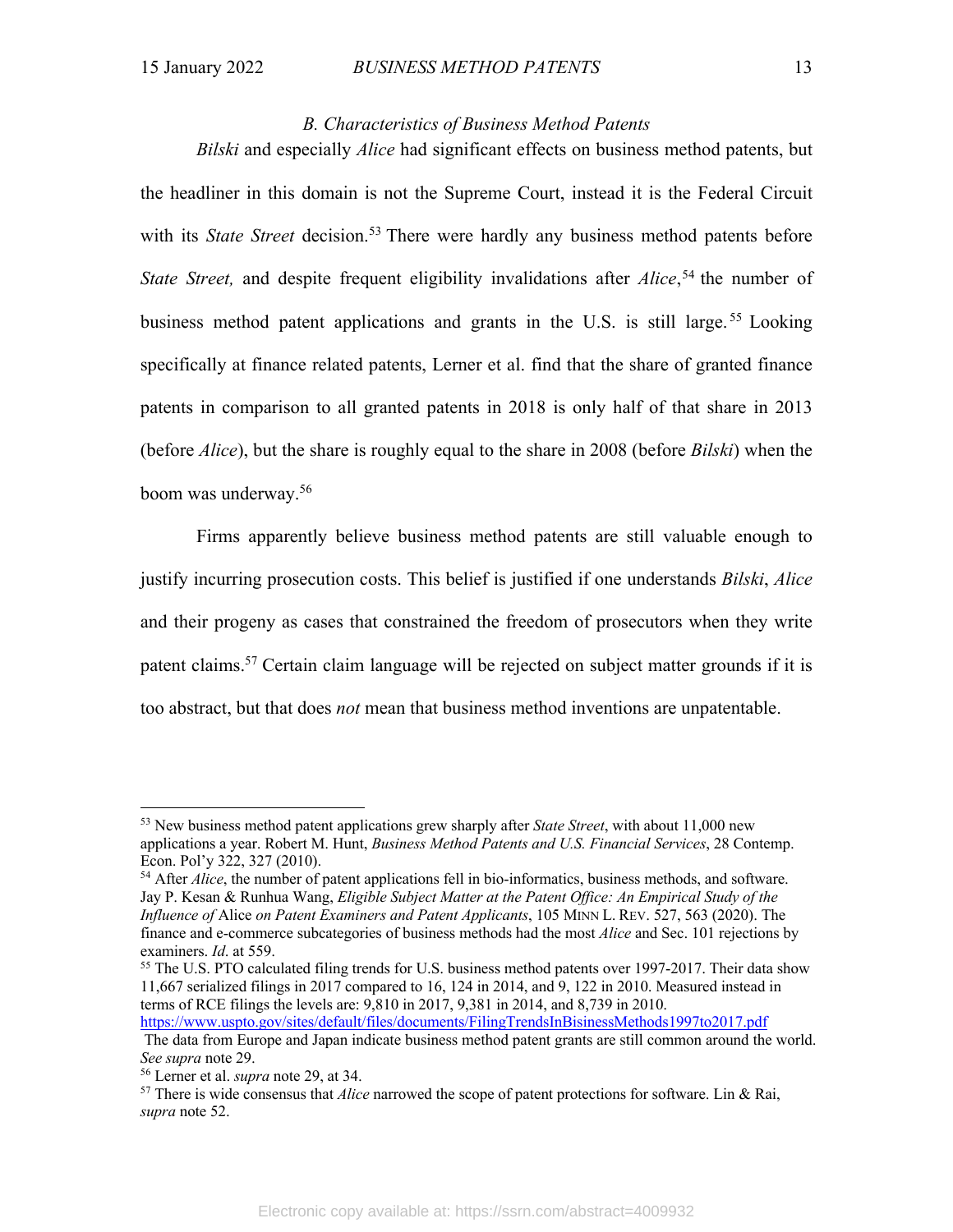#### *B. Characteristics of Business Method Patents*

*Bilski* and especially *Alice* had significant effects on business method patents, but the headliner in this domain is not the Supreme Court, instead it is the Federal Circuit with its *State Street* decision.<sup>53</sup> There were hardly any business method patents before *State Street,* and despite frequent eligibility invalidations after *Alice*, <sup>54</sup> the number of business method patent applications and grants in the U.S. is still large.<sup>55</sup> Looking specifically at finance related patents, Lerner et al. find that the share of granted finance patents in comparison to all granted patents in 2018 is only half of that share in 2013 (before *Alice*), but the share is roughly equal to the share in 2008 (before *Bilski*) when the boom was underway.56

Firms apparently believe business method patents are still valuable enough to justify incurring prosecution costs. This belief is justified if one understands *Bilski*, *Alice* and their progeny as cases that constrained the freedom of prosecutors when they write patent claims.57 Certain claim language will be rejected on subject matter grounds if it is too abstract, but that does *not* mean that business method inventions are unpatentable.

<sup>55</sup> The U.S. PTO calculated filing trends for U.S. business method patents over 1997-2017. Their data show 11,667 serialized filings in 2017 compared to 16, 124 in 2014, and 9, 122 in 2010. Measured instead in terms of RCE filings the levels are: 9,810 in 2017, 9,381 in 2014, and 8,739 in 2010.

<sup>53</sup> New business method patent applications grew sharply after *State Street*, with about 11,000 new applications a year. Robert M. Hunt, *Business Method Patents and U.S. Financial Services*, 28 Contemp. Econ. Pol'y 322, 327 (2010).

<sup>&</sup>lt;sup>54</sup> After *Alice*, the number of patent applications fell in bio-informatics, business methods, and software. Jay P. Kesan & Runhua Wang, *Eligible Subject Matter at the Patent Office: An Empirical Study of the Influence of* Alice *on Patent Examiners and Patent Applicants*, 105 MINN L. REV. 527, 563 (2020). The finance and e-commerce subcategories of business methods had the most *Alice* and Sec. 101 rejections by examiners. *Id*. at 559.

https://www.uspto.gov/sites/default/files/documents/FilingTrendsInBisinessMethods1997to2017.pdf The data from Europe and Japan indicate business method patent grants are still common around the world. *See supra* note 29.

<sup>56</sup> Lerner et al. *supra* note 29, at 34.

<sup>57</sup> There is wide consensus that *Alice* narrowed the scope of patent protections for software. Lin & Rai, *supra* note 52.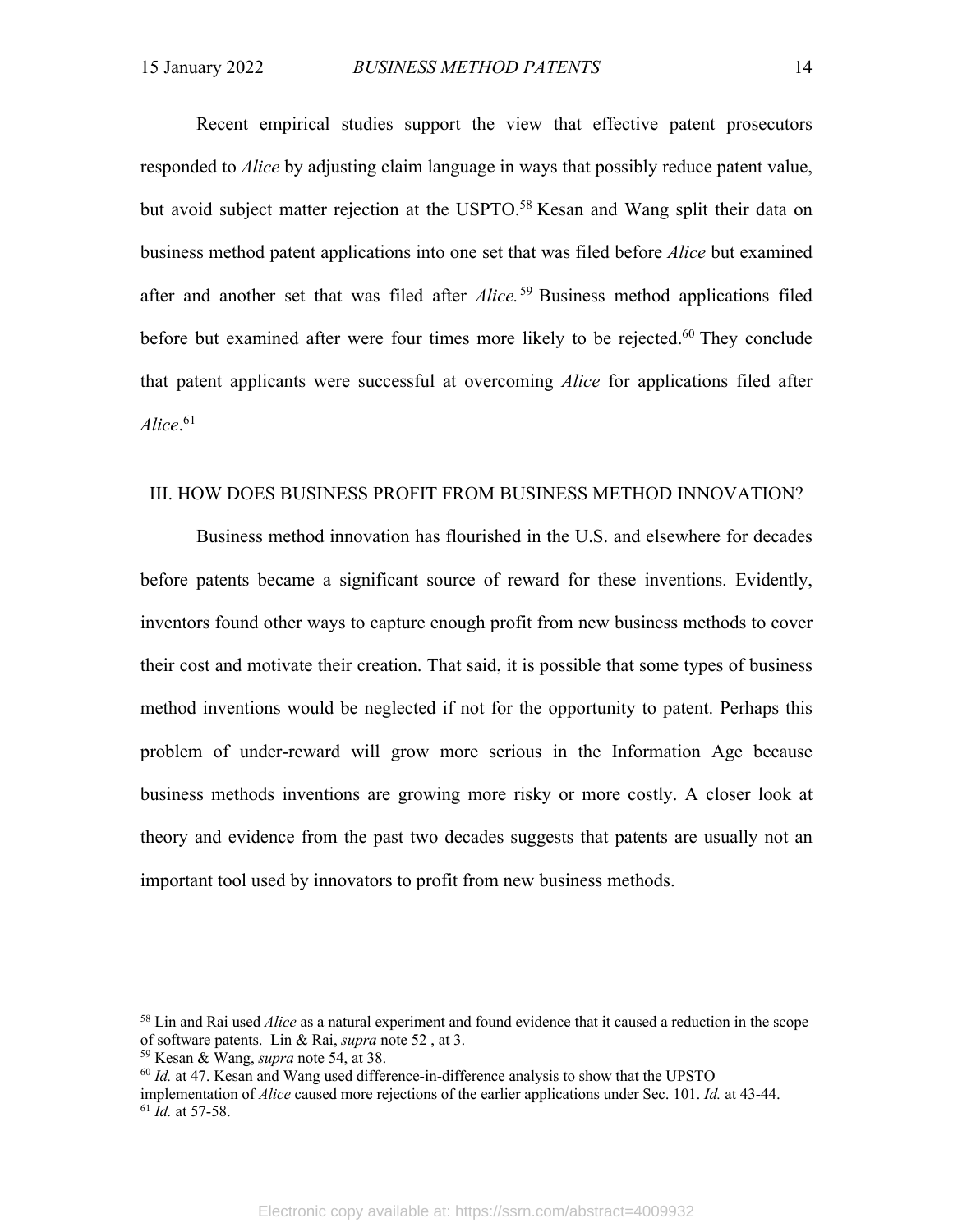Recent empirical studies support the view that effective patent prosecutors responded to *Alice* by adjusting claim language in ways that possibly reduce patent value, but avoid subject matter rejection at the USPTO.<sup>58</sup> Kesan and Wang split their data on business method patent applications into one set that was filed before *Alice* but examined after and another set that was filed after *Alice.* <sup>59</sup> Business method applications filed before but examined after were four times more likely to be rejected.<sup>60</sup> They conclude that patent applicants were successful at overcoming *Alice* for applications filed after *Alice*. 61

#### III. HOW DOES BUSINESS PROFIT FROM BUSINESS METHOD INNOVATION?

Business method innovation has flourished in the U.S. and elsewhere for decades before patents became a significant source of reward for these inventions. Evidently, inventors found other ways to capture enough profit from new business methods to cover their cost and motivate their creation. That said, it is possible that some types of business method inventions would be neglected if not for the opportunity to patent. Perhaps this problem of under-reward will grow more serious in the Information Age because business methods inventions are growing more risky or more costly. A closer look at theory and evidence from the past two decades suggests that patents are usually not an important tool used by innovators to profit from new business methods.

<sup>58</sup> Lin and Rai used *Alice* as a natural experiment and found evidence that it caused a reduction in the scope of software patents. Lin & Rai, *supra* note 52 , at 3.

<sup>59</sup> Kesan & Wang, *supra* note 54, at 38.

<sup>60</sup> *Id.* at 47. Kesan and Wang used difference-in-difference analysis to show that the UPSTO

implementation of *Alice* caused more rejections of the earlier applications under Sec. 101. *Id.* at 43-44. <sup>61</sup> *Id.* at 57-58.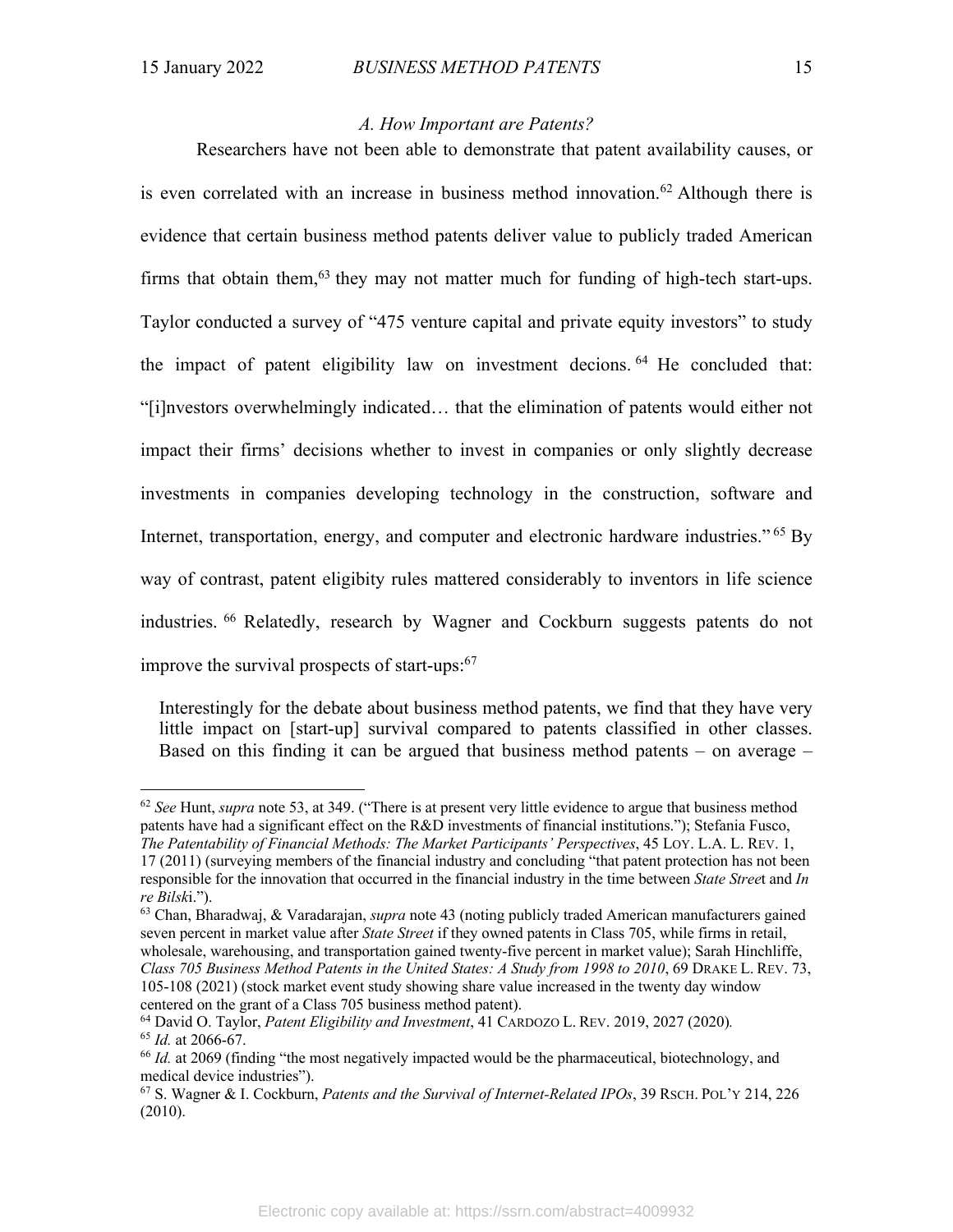#### *A. How Important are Patents?*

Researchers have not been able to demonstrate that patent availability causes, or is even correlated with an increase in business method innovation.<sup>62</sup> Although there is evidence that certain business method patents deliver value to publicly traded American firms that obtain them,  $63$  they may not matter much for funding of high-tech start-ups. Taylor conducted a survey of "475 venture capital and private equity investors" to study the impact of patent eligibility law on investment decions. <sup>64</sup> He concluded that: "[i]nvestors overwhelmingly indicated… that the elimination of patents would either not impact their firms' decisions whether to invest in companies or only slightly decrease investments in companies developing technology in the construction, software and Internet, transportation, energy, and computer and electronic hardware industries." <sup>65</sup> By way of contrast, patent eligibity rules mattered considerably to inventors in life science industries. <sup>66</sup> Relatedly, research by Wagner and Cockburn suggests patents do not improve the survival prospects of start-ups: 67

Interestingly for the debate about business method patents, we find that they have very little impact on [start-up] survival compared to patents classified in other classes. Based on this finding it can be argued that business method patents – on average –

<sup>62</sup> *See* Hunt, *supra* note 53, at 349. ("There is at present very little evidence to argue that business method patents have had a significant effect on the R&D investments of financial institutions."); Stefania Fusco, *The Patentability of Financial Methods: The Market Participants' Perspectives*, 45 LOY. L.A. L. REV. 1, 17 (2011) (surveying members of the financial industry and concluding "that patent protection has not been responsible for the innovation that occurred in the financial industry in the time between *State Stree*t and *In re Bilsk*i.").

<sup>63</sup> Chan, Bharadwaj, & Varadarajan, *supra* note 43 (noting publicly traded American manufacturers gained seven percent in market value after *State Street* if they owned patents in Class 705, while firms in retail, wholesale, warehousing, and transportation gained twenty-five percent in market value); Sarah Hinchliffe, *Class 705 Business Method Patents in the United States: A Study from 1998 to 2010*, 69 DRAKE L. REV. 73, 105-108 (2021) (stock market event study showing share value increased in the twenty day window centered on the grant of a Class 705 business method patent).

<sup>64</sup> David O. Taylor, *Patent Eligibility and Investment*, 41 CARDOZO L. REV. 2019, 2027 (2020)*.* <sup>65</sup> *Id.* at 2066-67.

<sup>66</sup> *Id.* at 2069 (finding "the most negatively impacted would be the pharmaceutical, biotechnology, and medical device industries").

<sup>67</sup> S. Wagner & I. Cockburn, *Patents and the Survival of Internet-Related IPOs*, 39 RSCH. POL'Y 214, 226 (2010).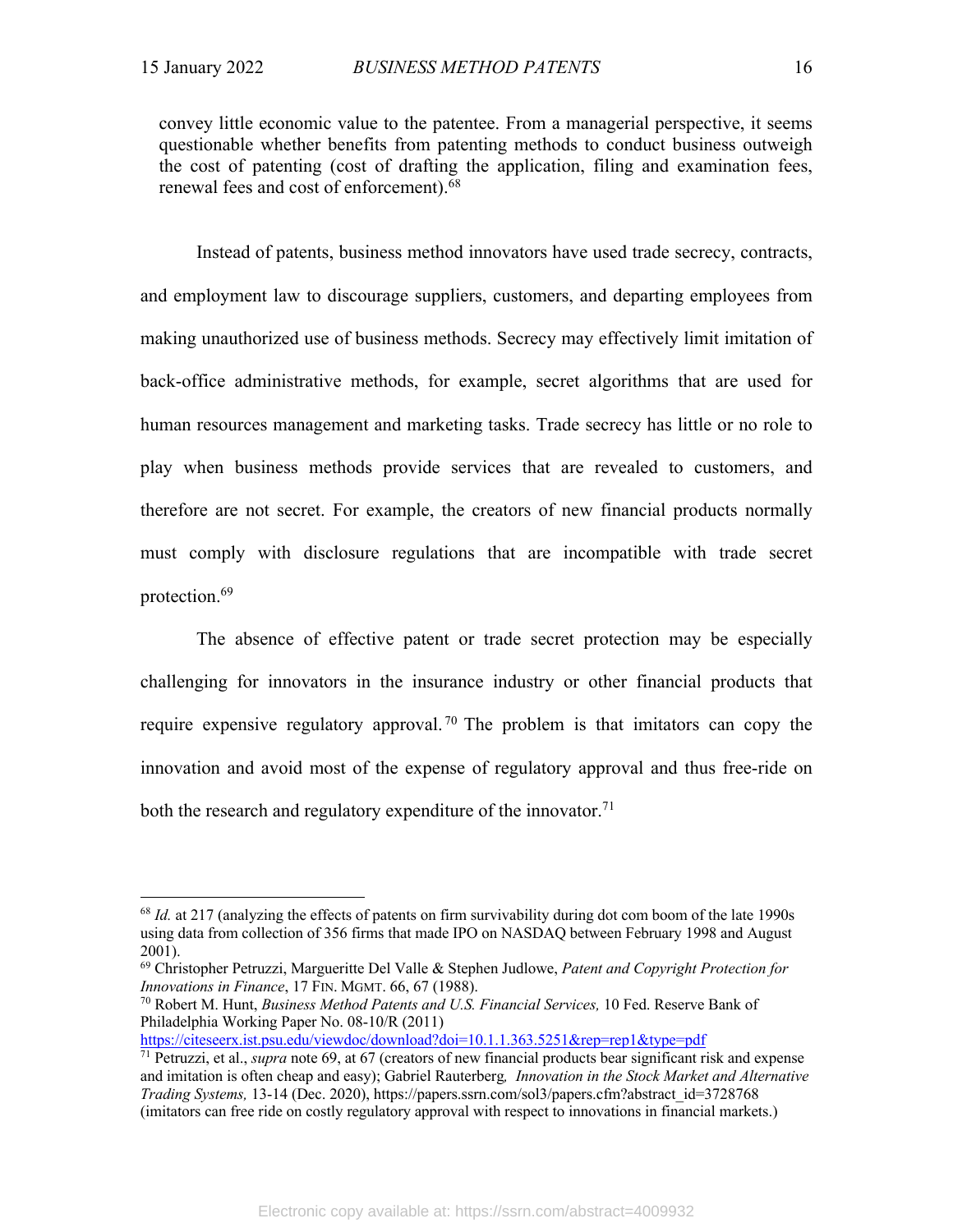convey little economic value to the patentee. From a managerial perspective, it seems questionable whether benefits from patenting methods to conduct business outweigh the cost of patenting (cost of drafting the application, filing and examination fees, renewal fees and cost of enforcement).<sup>68</sup>

Instead of patents, business method innovators have used trade secrecy, contracts, and employment law to discourage suppliers, customers, and departing employees from making unauthorized use of business methods. Secrecy may effectively limit imitation of back-office administrative methods, for example, secret algorithms that are used for human resources management and marketing tasks. Trade secrecy has little or no role to play when business methods provide services that are revealed to customers, and therefore are not secret. For example, the creators of new financial products normally must comply with disclosure regulations that are incompatible with trade secret protection.69

The absence of effective patent or trade secret protection may be especially challenging for innovators in the insurance industry or other financial products that require expensive regulatory approval.<sup>70</sup> The problem is that imitators can copy the innovation and avoid most of the expense of regulatory approval and thus free-ride on both the research and regulatory expenditure of the innovator.<sup>71</sup>

https://citeseerx.ist.psu.edu/viewdoc/download?doi=10.1.1.363.5251&rep=rep1&type=pdf

<sup>&</sup>lt;sup>68</sup> *Id.* at 217 (analyzing the effects of patents on firm survivability during dot com boom of the late 1990s using data from collection of 356 firms that made IPO on NASDAQ between February 1998 and August 2001).

<sup>69</sup> Christopher Petruzzi, Margueritte Del Valle & Stephen Judlowe, *Patent and Copyright Protection for Innovations in Finance*, 17 FIN. MGMT. 66, 67 (1988).

<sup>70</sup> Robert M. Hunt, *Business Method Patents and U.S. Financial Services,* 10 Fed. Reserve Bank of Philadelphia Working Paper No. 08-10/R (2011)

<sup>71</sup> Petruzzi, et al., *supra* note 69, at 67 (creators of new financial products bear significant risk and expense and imitation is often cheap and easy); Gabriel Rauterberg*, Innovation in the Stock Market and Alternative Trading Systems,* 13-14 (Dec. 2020), https://papers.ssrn.com/sol3/papers.cfm?abstract\_id=3728768 (imitators can free ride on costly regulatory approval with respect to innovations in financial markets.)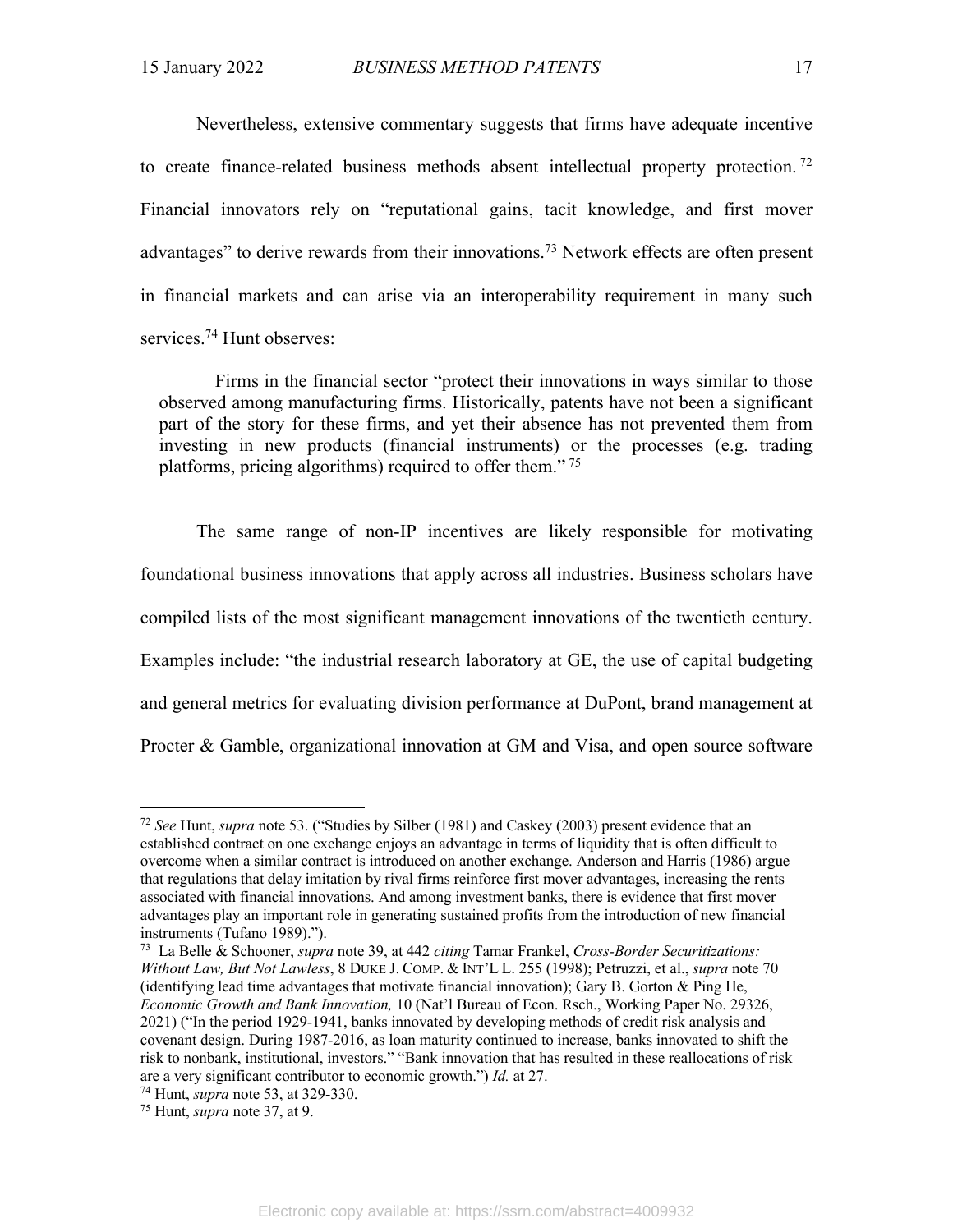Nevertheless, extensive commentary suggests that firms have adequate incentive to create finance-related business methods absent intellectual property protection.<sup>72</sup> Financial innovators rely on "reputational gains, tacit knowledge, and first mover advantages" to derive rewards from their innovations.<sup>73</sup> Network effects are often present in financial markets and can arise via an interoperability requirement in many such services.74 Hunt observes:

Firms in the financial sector "protect their innovations in ways similar to those observed among manufacturing firms. Historically, patents have not been a significant part of the story for these firms, and yet their absence has not prevented them from investing in new products (financial instruments) or the processes (e.g. trading platforms, pricing algorithms) required to offer them." <sup>75</sup>

The same range of non-IP incentives are likely responsible for motivating foundational business innovations that apply across all industries. Business scholars have compiled lists of the most significant management innovations of the twentieth century. Examples include: "the industrial research laboratory at GE, the use of capital budgeting and general metrics for evaluating division performance at DuPont, brand management at Procter & Gamble, organizational innovation at GM and Visa, and open source software

<sup>72</sup> *See* Hunt, *supra* note 53. ("Studies by Silber (1981) and Caskey (2003) present evidence that an established contract on one exchange enjoys an advantage in terms of liquidity that is often difficult to overcome when a similar contract is introduced on another exchange. Anderson and Harris (1986) argue that regulations that delay imitation by rival firms reinforce first mover advantages, increasing the rents associated with financial innovations. And among investment banks, there is evidence that first mover advantages play an important role in generating sustained profits from the introduction of new financial instruments (Tufano 1989).").

<sup>73</sup> La Belle & Schooner, *supra* note 39, at 442 *citing* Tamar Frankel, *Cross-Border Securitizations: Without Law, But Not Lawless*, 8 DUKE J. COMP. & INT'L L. 255 (1998); Petruzzi, et al., *supra* note 70 (identifying lead time advantages that motivate financial innovation); Gary B. Gorton & Ping He, *Economic Growth and Bank Innovation,* 10 (Nat'l Bureau of Econ. Rsch., Working Paper No. 29326, 2021) ("In the period 1929-1941, banks innovated by developing methods of credit risk analysis and covenant design. During 1987-2016, as loan maturity continued to increase, banks innovated to shift the risk to nonbank, institutional, investors." "Bank innovation that has resulted in these reallocations of risk are a very significant contributor to economic growth.") *Id.* at 27.

<sup>74</sup> Hunt, *supra* note 53, at 329-330. 75 Hunt, *supra* note 37, at 9.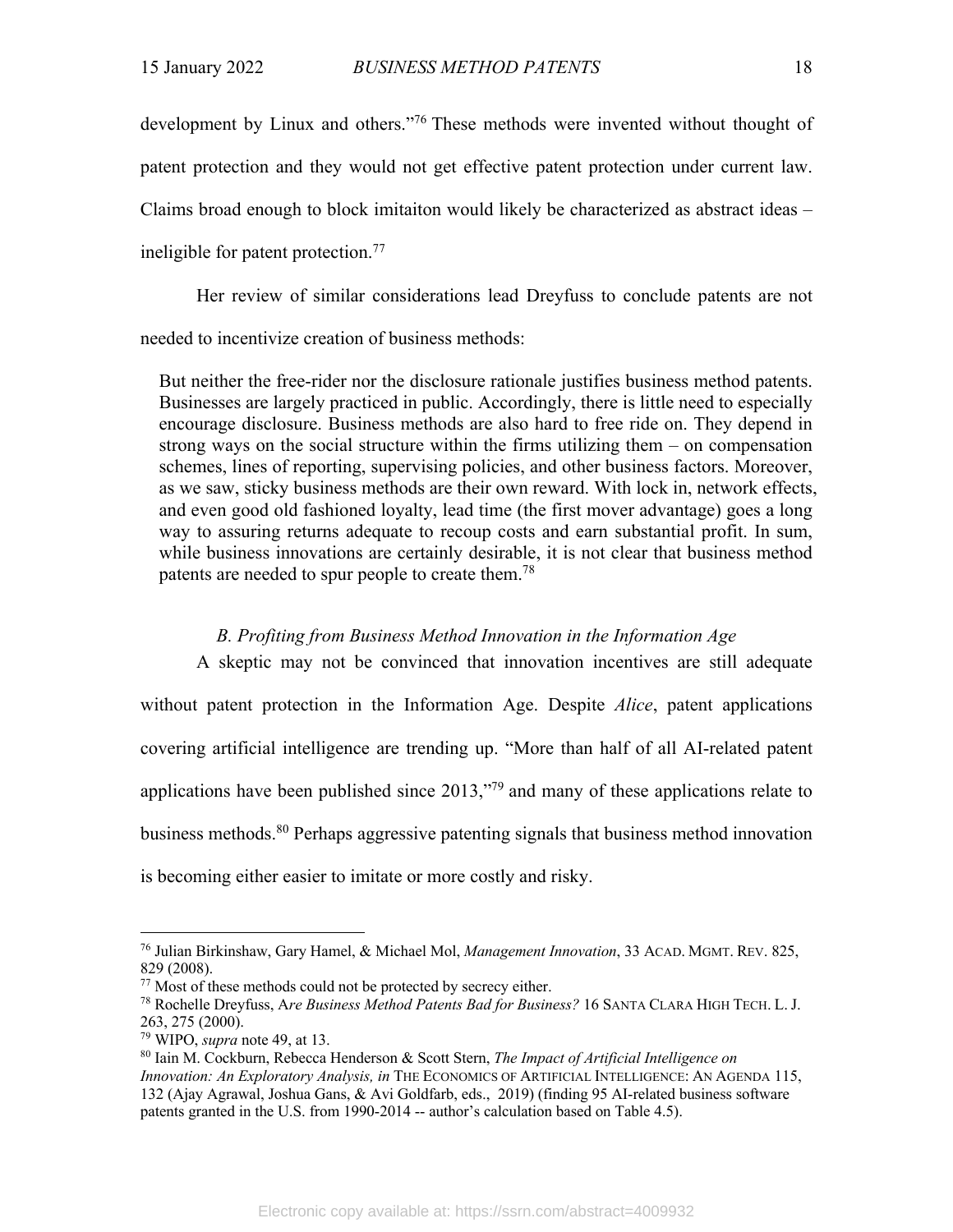development by Linux and others."76 These methods were invented without thought of patent protection and they would not get effective patent protection under current law. Claims broad enough to block imitaiton would likely be characterized as abstract ideas – ineligible for patent protection.77

Her review of similar considerations lead Dreyfuss to conclude patents are not needed to incentivize creation of business methods:

But neither the free-rider nor the disclosure rationale justifies business method patents. Businesses are largely practiced in public. Accordingly, there is little need to especially encourage disclosure. Business methods are also hard to free ride on. They depend in strong ways on the social structure within the firms utilizing them – on compensation schemes, lines of reporting, supervising policies, and other business factors. Moreover, as we saw, sticky business methods are their own reward. With lock in, network effects, and even good old fashioned loyalty, lead time (the first mover advantage) goes a long way to assuring returns adequate to recoup costs and earn substantial profit. In sum, while business innovations are certainly desirable, it is not clear that business method patents are needed to spur people to create them.<sup>78</sup>

#### *B. Profiting from Business Method Innovation in the Information Age*

A skeptic may not be convinced that innovation incentives are still adequate without patent protection in the Information Age. Despite *Alice*, patent applications covering artificial intelligence are trending up. "More than half of all AI-related patent applications have been published since 2013,"79 and many of these applications relate to business methods.80 Perhaps aggressive patenting signals that business method innovation is becoming either easier to imitate or more costly and risky.

<sup>76</sup> Julian Birkinshaw, Gary Hamel, & Michael Mol, *Management Innovation*, 33 ACAD. MGMT. REV. 825, 829 (2008).

<sup>&</sup>lt;sup>77</sup> Most of these methods could not be protected by secrecy either.

<sup>78</sup> Rochelle Dreyfuss, A*re Business Method Patents Bad for Business?* 16 SANTA CLARA HIGH TECH. L. J. 263, 275 (2000).

<sup>79</sup> WIPO, *supra* note 49, at 13.

<sup>80</sup> Iain M. Cockburn, Rebecca Henderson & Scott Stern, *The Impact of Artificial Intelligence on Innovation: An Exploratory Analysis, in* THE ECONOMICS OF ARTIFICIAL INTELLIGENCE: AN AGENDA 115, 132 (Ajay Agrawal, Joshua Gans, & Avi Goldfarb, eds., 2019) (finding 95 AI-related business software patents granted in the U.S. from 1990-2014 -- author's calculation based on Table 4.5).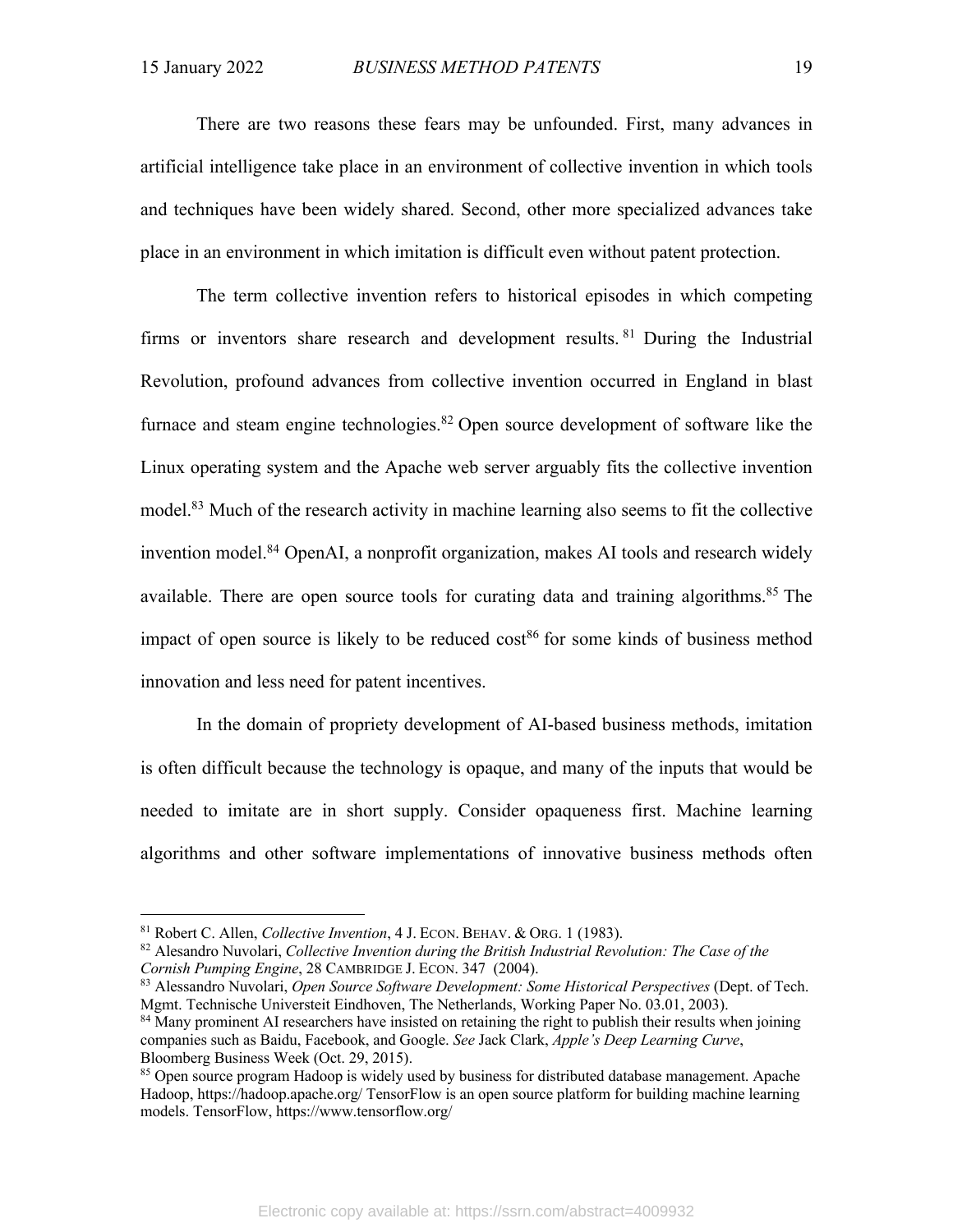There are two reasons these fears may be unfounded. First, many advances in artificial intelligence take place in an environment of collective invention in which tools and techniques have been widely shared. Second, other more specialized advances take place in an environment in which imitation is difficult even without patent protection.

The term collective invention refers to historical episodes in which competing firms or inventors share research and development results. <sup>81</sup> During the Industrial Revolution, profound advances from collective invention occurred in England in blast furnace and steam engine technologies.<sup>82</sup> Open source development of software like the Linux operating system and the Apache web server arguably fits the collective invention model.<sup>83</sup> Much of the research activity in machine learning also seems to fit the collective invention model.<sup>84</sup> OpenAI, a nonprofit organization, makes AI tools and research widely available. There are open source tools for curating data and training algorithms.<sup>85</sup> The impact of open source is likely to be reduced  $\cos^{86}$  for some kinds of business method innovation and less need for patent incentives.

In the domain of propriety development of AI-based business methods, imitation is often difficult because the technology is opaque, and many of the inputs that would be needed to imitate are in short supply. Consider opaqueness first. Machine learning algorithms and other software implementations of innovative business methods often

<sup>81</sup> Robert C. Allen, *Collective Invention*, 4 J. ECON. BEHAV. & ORG. 1 (1983).

<sup>82</sup> Alesandro Nuvolari, *Collective Invention during the British Industrial Revolution: The Case of the Cornish Pumping Engine*, 28 CAMBRIDGE J. ECON. 347 (2004).

<sup>83</sup> Alessandro Nuvolari, *Open Source Software Development: Some Historical Perspectives* (Dept. of Tech. Mgmt. Technische Universteit Eindhoven, The Netherlands, Working Paper No. 03.01, 2003).

<sup>&</sup>lt;sup>84</sup> Many prominent AI researchers have insisted on retaining the right to publish their results when joining companies such as Baidu, Facebook, and Google. *See* Jack Clark, *Apple's Deep Learning Curve*, Bloomberg Business Week (Oct. 29, 2015).

<sup>&</sup>lt;sup>85</sup> Open source program Hadoop is widely used by business for distributed database management. Apache Hadoop, https://hadoop.apache.org/ TensorFlow is an open source platform for building machine learning models. TensorFlow, https://www.tensorflow.org/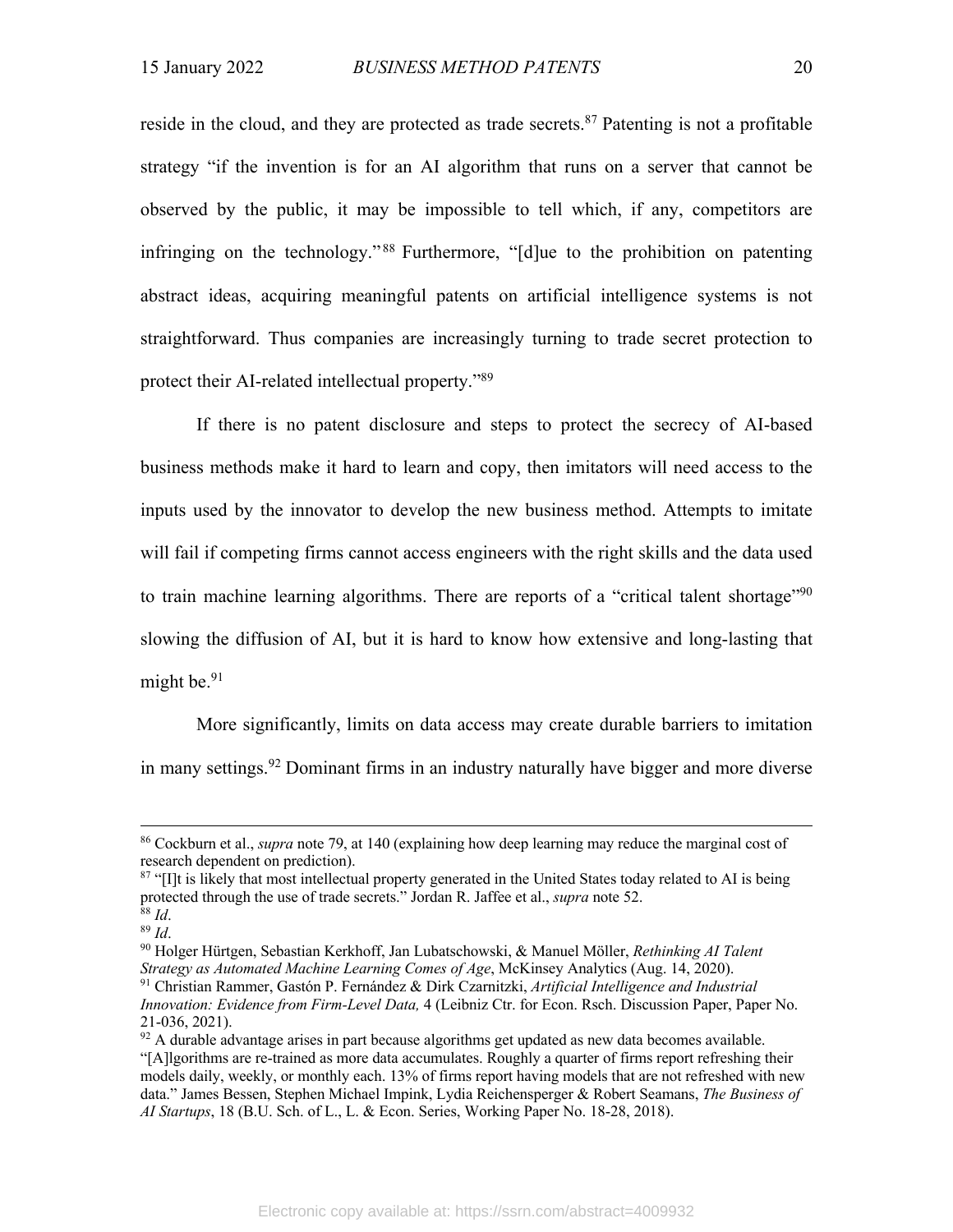reside in the cloud, and they are protected as trade secrets.<sup>87</sup> Patenting is not a profitable strategy "if the invention is for an AI algorithm that runs on a server that cannot be observed by the public, it may be impossible to tell which, if any, competitors are infringing on the technology." <sup>88</sup> Furthermore, "[d]ue to the prohibition on patenting abstract ideas, acquiring meaningful patents on artificial intelligence systems is not straightforward. Thus companies are increasingly turning to trade secret protection to protect their AI-related intellectual property."89

If there is no patent disclosure and steps to protect the secrecy of AI-based business methods make it hard to learn and copy, then imitators will need access to the inputs used by the innovator to develop the new business method. Attempts to imitate will fail if competing firms cannot access engineers with the right skills and the data used to train machine learning algorithms. There are reports of a "critical talent shortage"<sup>90</sup> slowing the diffusion of AI, but it is hard to know how extensive and long-lasting that might be.<sup>91</sup>

More significantly, limits on data access may create durable barriers to imitation in many settings.<sup>92</sup> Dominant firms in an industry naturally have bigger and more diverse

<sup>86</sup> Cockburn et al., *supra* note 79, at 140 (explaining how deep learning may reduce the marginal cost of research dependent on prediction).

<sup>&</sup>lt;sup>87</sup> "[I]t is likely that most intellectual property generated in the United States today related to AI is being protected through the use of trade secrets." Jordan R. Jaffee et al., *supra* note 52.  $88$  *Id.* 

<sup>89</sup> *Id*.

<sup>90</sup> Holger Hürtgen, Sebastian Kerkhoff, Jan Lubatschowski, & Manuel Möller, *Rethinking AI Talent Strategy as Automated Machine Learning Comes of Age*, McKinsey Analytics (Aug. 14, 2020). <sup>91</sup> Christian Rammer, Gastón P. Fernández & Dirk Czarnitzki, *Artificial Intelligence and Industrial Innovation: Evidence from Firm-Level Data,* 4 (Leibniz Ctr. for Econ. Rsch. Discussion Paper, Paper No. 21-036, 2021).

 $92$  A durable advantage arises in part because algorithms get updated as new data becomes available. "[A]lgorithms are re-trained as more data accumulates. Roughly a quarter of firms report refreshing their models daily, weekly, or monthly each. 13% of firms report having models that are not refreshed with new data." James Bessen, Stephen Michael Impink, Lydia Reichensperger & Robert Seamans, *The Business of AI Startups*, 18 (B.U. Sch. of L., L. & Econ. Series, Working Paper No. 18-28, 2018).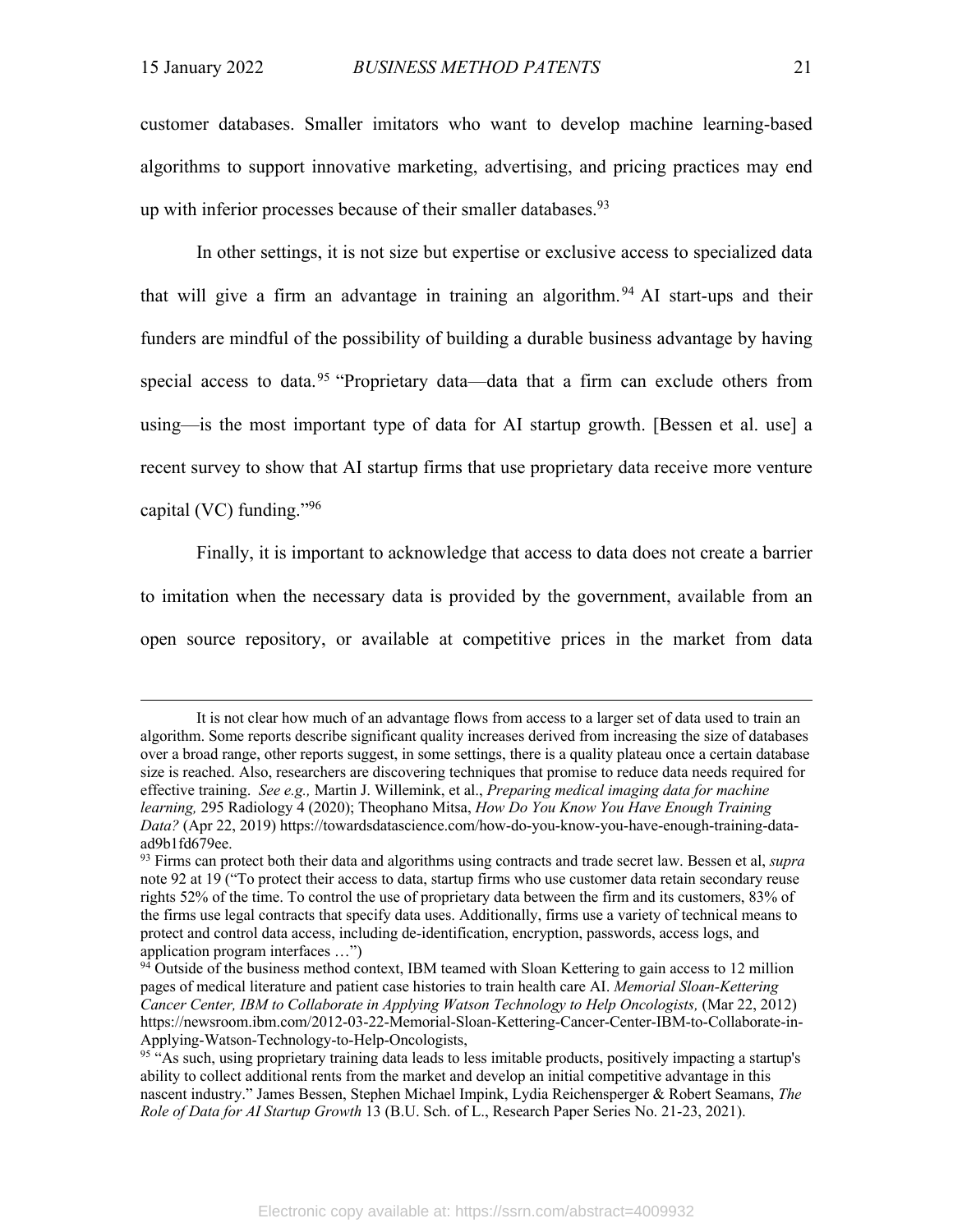customer databases. Smaller imitators who want to develop machine learning-based algorithms to support innovative marketing, advertising, and pricing practices may end up with inferior processes because of their smaller databases.  $93$ 

In other settings, it is not size but expertise or exclusive access to specialized data that will give a firm an advantage in training an algorithm.<sup>94</sup> AI start-ups and their funders are mindful of the possibility of building a durable business advantage by having special access to data.<sup>95</sup> "Proprietary data—data that a firm can exclude others from using—is the most important type of data for AI startup growth. [Bessen et al. use] a recent survey to show that AI startup firms that use proprietary data receive more venture capital (VC) funding."96

Finally, it is important to acknowledge that access to data does not create a barrier to imitation when the necessary data is provided by the government, available from an open source repository, or available at competitive prices in the market from data

It is not clear how much of an advantage flows from access to a larger set of data used to train an algorithm. Some reports describe significant quality increases derived from increasing the size of databases over a broad range, other reports suggest, in some settings, there is a quality plateau once a certain database size is reached. Also, researchers are discovering techniques that promise to reduce data needs required for effective training. *See e.g.,* Martin J. Willemink, et al., *Preparing medical imaging data for machine learning,* 295 Radiology 4 (2020); Theophano Mitsa, *How Do You Know You Have Enough Training Data?* (Apr 22, 2019) https://towardsdatascience.com/how-do-you-know-you-have-enough-training-dataad9b1fd679ee.

<sup>93</sup> Firms can protect both their data and algorithms using contracts and trade secret law. Bessen et al, *supra*  note 92 at 19 ("To protect their access to data, startup firms who use customer data retain secondary reuse rights 52% of the time. To control the use of proprietary data between the firm and its customers, 83% of the firms use legal contracts that specify data uses. Additionally, firms use a variety of technical means to protect and control data access, including de-identification, encryption, passwords, access logs, and application program interfaces …")

<sup>&</sup>lt;sup>94</sup> Outside of the business method context, IBM teamed with Sloan Kettering to gain access to 12 million pages of medical literature and patient case histories to train health care AI. *Memorial Sloan-Kettering Cancer Center, IBM to Collaborate in Applying Watson Technology to Help Oncologists,* (Mar 22, 2012) https://newsroom.ibm.com/2012-03-22-Memorial-Sloan-Kettering-Cancer-Center-IBM-to-Collaborate-in-Applying-Watson-Technology-to-Help-Oncologists,

<sup>&</sup>lt;sup>95</sup> "As such, using proprietary training data leads to less imitable products, positively impacting a startup's ability to collect additional rents from the market and develop an initial competitive advantage in this nascent industry." James Bessen, Stephen Michael Impink, Lydia Reichensperger & Robert Seamans, *The Role of Data for AI Startup Growth* 13 (B.U. Sch. of L., Research Paper Series No. 21-23, 2021).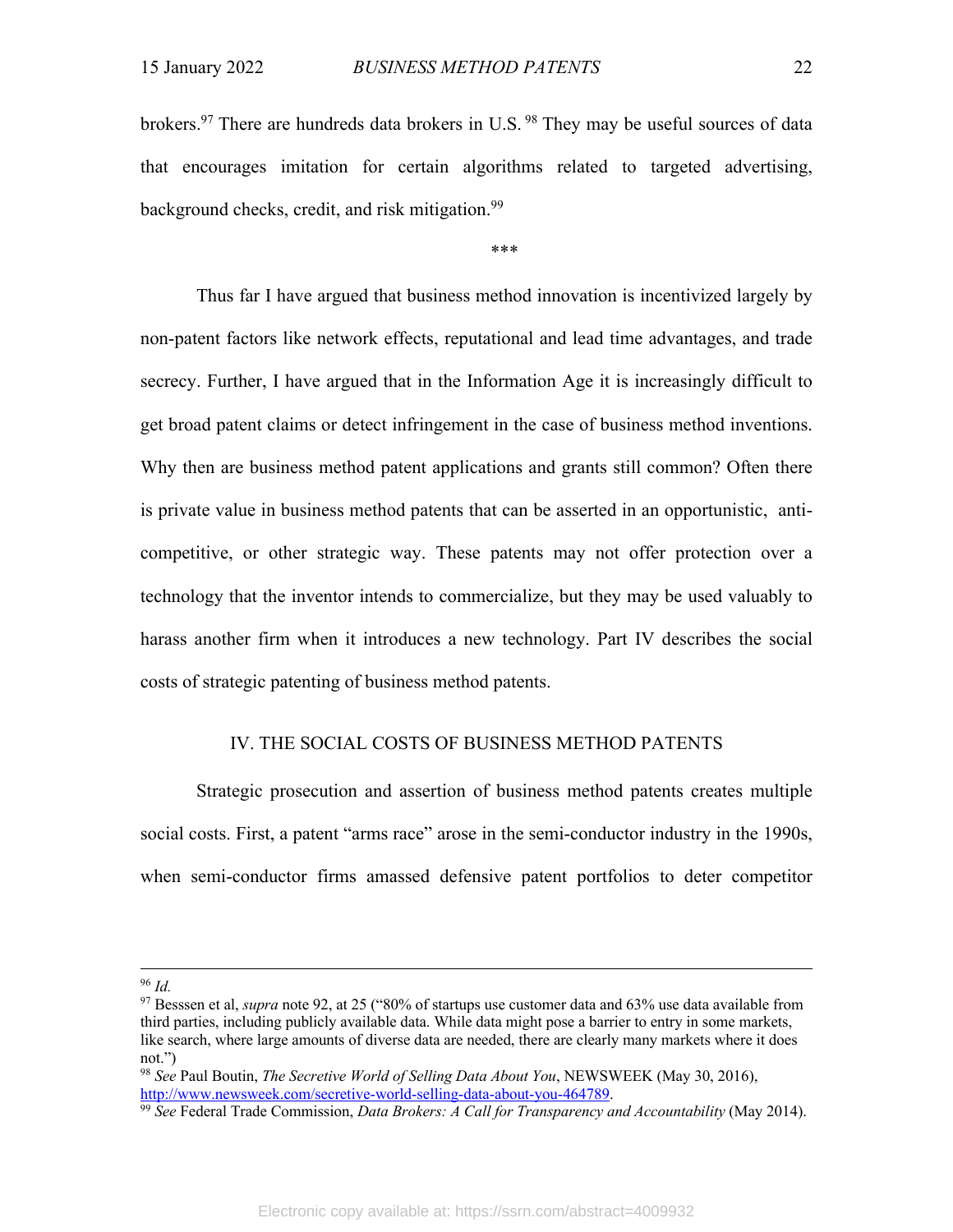brokers.97 There are hundreds data brokers in U.S. <sup>98</sup> They may be useful sources of data that encourages imitation for certain algorithms related to targeted advertising, background checks, credit, and risk mitigation.<sup>99</sup>

### \*\*\*

Thus far I have argued that business method innovation is incentivized largely by non-patent factors like network effects, reputational and lead time advantages, and trade secrecy. Further, I have argued that in the Information Age it is increasingly difficult to get broad patent claims or detect infringement in the case of business method inventions. Why then are business method patent applications and grants still common? Often there is private value in business method patents that can be asserted in an opportunistic, anticompetitive, or other strategic way. These patents may not offer protection over a technology that the inventor intends to commercialize, but they may be used valuably to harass another firm when it introduces a new technology. Part IV describes the social costs of strategic patenting of business method patents.

### IV. THE SOCIAL COSTS OF BUSINESS METHOD PATENTS

Strategic prosecution and assertion of business method patents creates multiple social costs. First, a patent "arms race" arose in the semi-conductor industry in the 1990s, when semi-conductor firms amassed defensive patent portfolios to deter competitor

<sup>96</sup> *Id.*

<sup>97</sup> Besssen et al, *supra* note 92, at 25 ("80% of startups use customer data and 63% use data available from third parties, including publicly available data. While data might pose a barrier to entry in some markets, like search, where large amounts of diverse data are needed, there are clearly many markets where it does not.")

<sup>98</sup> *See* Paul Boutin, *The Secretive World of Selling Data About You*, NEWSWEEK (May 30, 2016), http://www.newsweek.com/secretive-world-selling-data-about-you-464789.

<sup>99</sup> *See* Federal Trade Commission, *Data Brokers: A Call for Transparency and Accountability* (May 2014).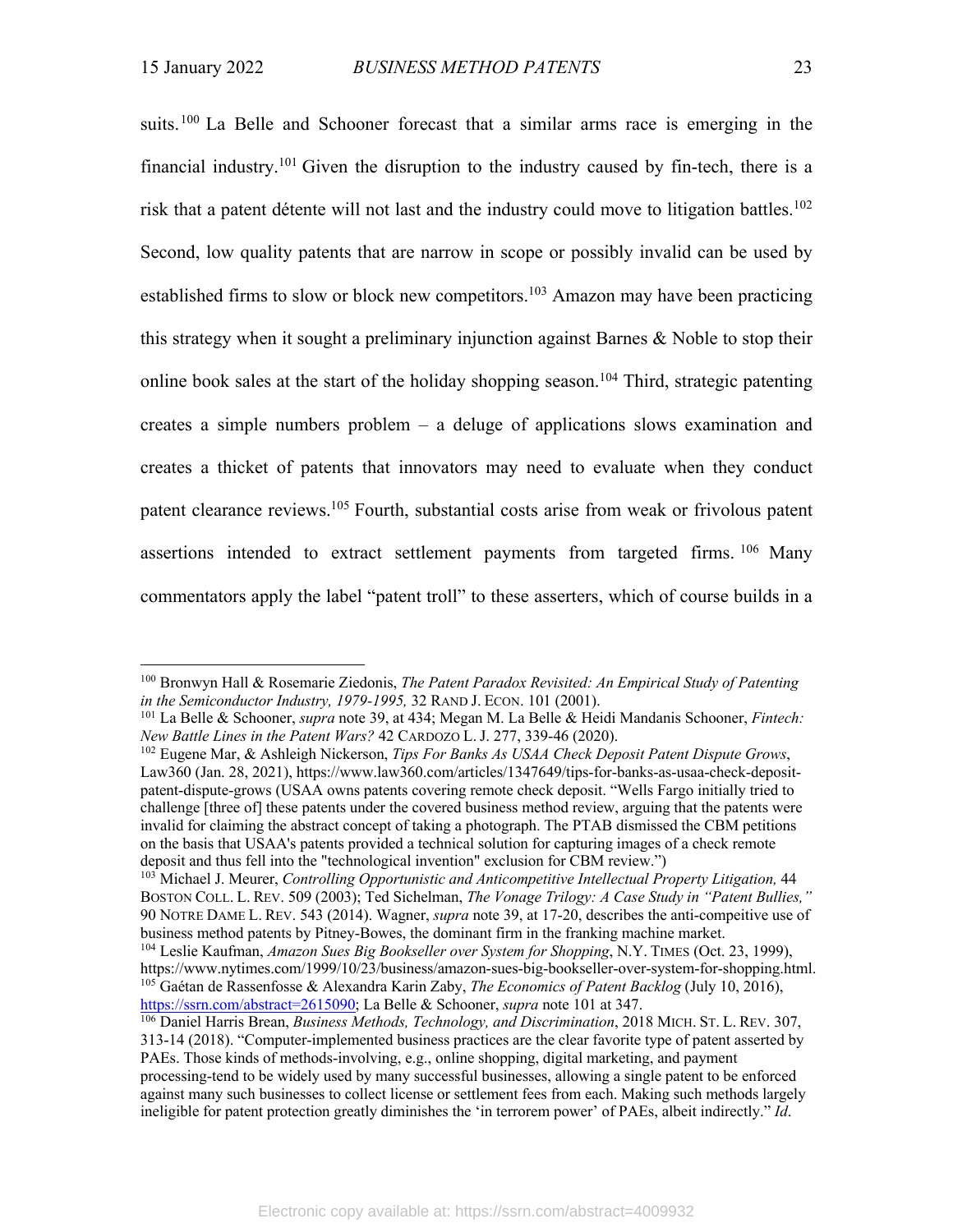suits.<sup>100</sup> La Belle and Schooner forecast that a similar arms race is emerging in the financial industry.<sup>101</sup> Given the disruption to the industry caused by fin-tech, there is a risk that a patent détente will not last and the industry could move to litigation battles.<sup>102</sup> Second, low quality patents that are narrow in scope or possibly invalid can be used by established firms to slow or block new competitors.<sup>103</sup> Amazon may have been practicing this strategy when it sought a preliminary injunction against Barnes & Noble to stop their online book sales at the start of the holiday shopping season.<sup>104</sup> Third, strategic patenting creates a simple numbers problem – a deluge of applications slows examination and creates a thicket of patents that innovators may need to evaluate when they conduct patent clearance reviews.105 Fourth, substantial costs arise from weak or frivolous patent assertions intended to extract settlement payments from targeted firms. <sup>106</sup> Many commentators apply the label "patent troll" to these asserters, which of course builds in a

<sup>103</sup> Michael J. Meurer, *Controlling Opportunistic and Anticompetitive Intellectual Property Litigation*, 44 BOSTON COLL. L. REV. 509 (2003); Ted Sichelman, *The Vonage Trilogy: A Case Study in "Patent Bullies,"*  90 NOTRE DAME L. REV. 543 (2014). Wagner, *supra* note 39, at 17-20, describes the anti-compeitive use of business method patents by Pitney-Bowes, the dominant firm in the franking machine market.

<sup>100</sup> Bronwyn Hall & Rosemarie Ziedonis, *The Patent Paradox Revisited: An Empirical Study of Patenting in the Semiconductor Industry, 1979-1995,* 32 RAND J. ECON. 101 (2001).

<sup>101</sup> La Belle & Schooner, *supra* note 39, at 434; Megan M. La Belle & Heidi Mandanis Schooner, *Fintech: New Battle Lines in the Patent Wars?* 42 CARDOZO L. J. 277, 339-46 (2020).

<sup>102</sup> Eugene Mar, & Ashleigh Nickerson, *Tips For Banks As USAA Check Deposit Patent Dispute Grows*, Law360 (Jan. 28, 2021), https://www.law360.com/articles/1347649/tips-for-banks-as-usaa-check-depositpatent-dispute-grows (USAA owns patents covering remote check deposit. "Wells Fargo initially tried to challenge [three of] these patents under the covered business method review, arguing that the patents were invalid for claiming the abstract concept of taking a photograph. The PTAB dismissed the CBM petitions on the basis that USAA's patents provided a technical solution for capturing images of a check remote deposit and thus fell into the "technological invention" exclusion for CBM review.")

<sup>104</sup> Leslie Kaufman, *Amazon Sues Big Bookseller over System for Shopping*, N.Y. TIMES (Oct. 23, 1999), https://www.nytimes.com/1999/10/23/business/amazon-sues-big-bookseller-over-system-for-shopping.html. <sup>105</sup> Gaétan de Rassenfosse & Alexandra Karin Zaby, *The Economics of Patent Backlog* (July 10, 2016), https://ssrn.com/abstract=2615090; La Belle & Schooner, *supra* note 101 at 347.

<sup>106</sup> Daniel Harris Brean, *Business Methods, Technology, and Discrimination*, 2018 MICH. ST. L. REV. 307, 313-14 (2018). "Computer-implemented business practices are the clear favorite type of patent asserted by PAEs. Those kinds of methods-involving, e.g., online shopping, digital marketing, and payment processing-tend to be widely used by many successful businesses, allowing a single patent to be enforced against many such businesses to collect license or settlement fees from each. Making such methods largely ineligible for patent protection greatly diminishes the 'in terrorem power' of PAEs, albeit indirectly." *Id*.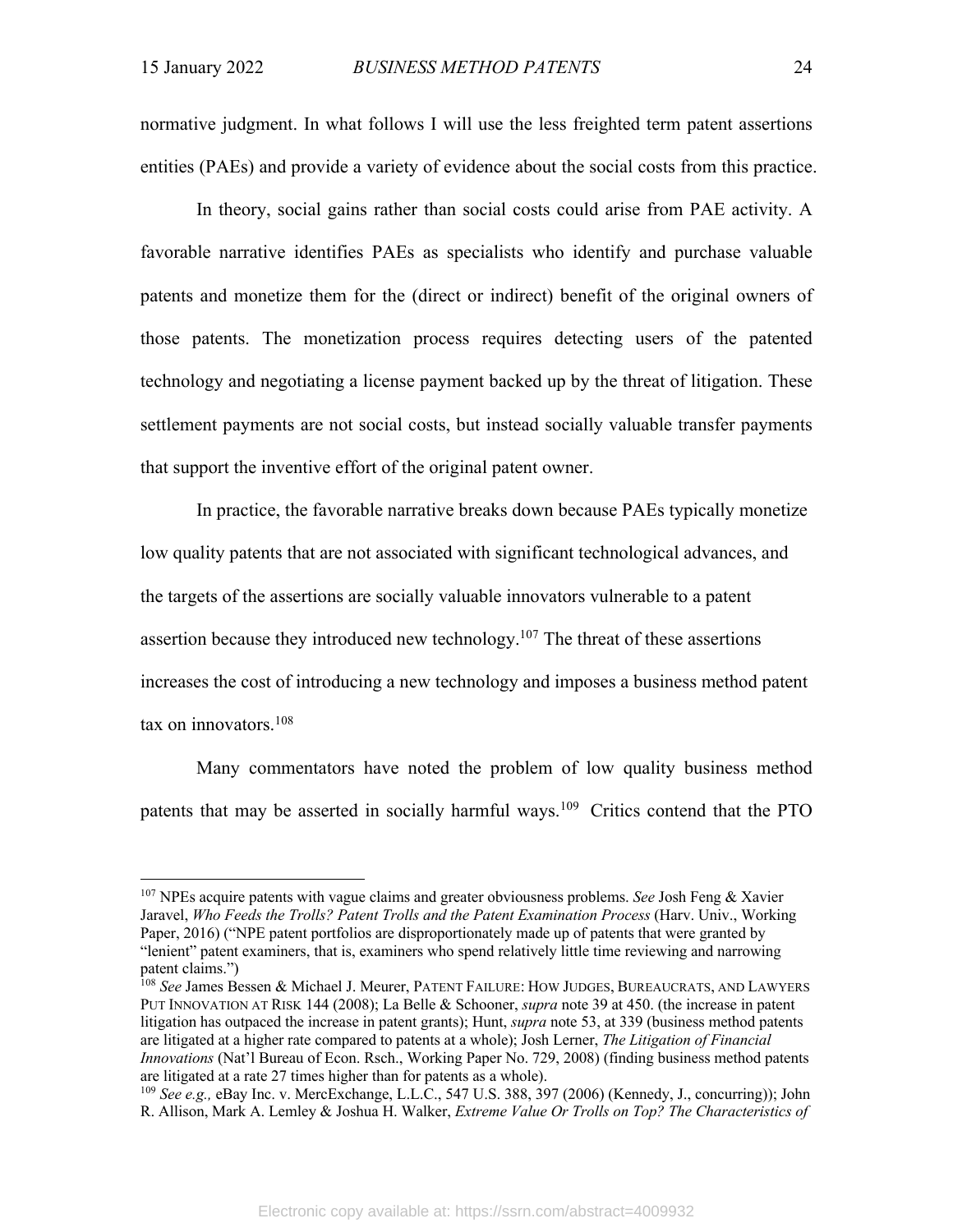normative judgment. In what follows I will use the less freighted term patent assertions entities (PAEs) and provide a variety of evidence about the social costs from this practice.

In theory, social gains rather than social costs could arise from PAE activity. A favorable narrative identifies PAEs as specialists who identify and purchase valuable patents and monetize them for the (direct or indirect) benefit of the original owners of those patents. The monetization process requires detecting users of the patented technology and negotiating a license payment backed up by the threat of litigation. These settlement payments are not social costs, but instead socially valuable transfer payments that support the inventive effort of the original patent owner.

In practice, the favorable narrative breaks down because PAEs typically monetize low quality patents that are not associated with significant technological advances, and the targets of the assertions are socially valuable innovators vulnerable to a patent assertion because they introduced new technology.<sup>107</sup> The threat of these assertions increases the cost of introducing a new technology and imposes a business method patent tax on innovators.108

Many commentators have noted the problem of low quality business method patents that may be asserted in socially harmful ways.<sup>109</sup> Critics contend that the PTO

<sup>107</sup> NPEs acquire patents with vague claims and greater obviousness problems. *See* Josh Feng & Xavier Jaravel, *Who Feeds the Trolls? Patent Trolls and the Patent Examination Process* (Harv. Univ., Working Paper, 2016) ("NPE patent portfolios are disproportionately made up of patents that were granted by "lenient" patent examiners, that is, examiners who spend relatively little time reviewing and narrowing patent claims.")

<sup>&</sup>lt;sup>108</sup> See James Bessen & Michael J. Meurer, PATENT FAILURE: HOW JUDGES, BUREAUCRATS, AND LAWYERS PUT INNOVATION AT RISK 144 (2008); La Belle & Schooner, *supra* note 39 at 450. (the increase in patent litigation has outpaced the increase in patent grants); Hunt, *supra* note 53, at 339 (business method patents are litigated at a higher rate compared to patents at a whole); Josh Lerner, *The Litigation of Financial Innovations* (Nat'l Bureau of Econ. Rsch., Working Paper No. 729, 2008) (finding business method patents are litigated at a rate 27 times higher than for patents as a whole).

<sup>109</sup> *See e.g.,* eBay Inc. v. MercExchange, L.L.C., 547 U.S. 388, 397 (2006) (Kennedy, J., concurring)); John R. Allison, Mark A. Lemley & Joshua H. Walker, *Extreme Value Or Trolls on Top? The Characteristics of*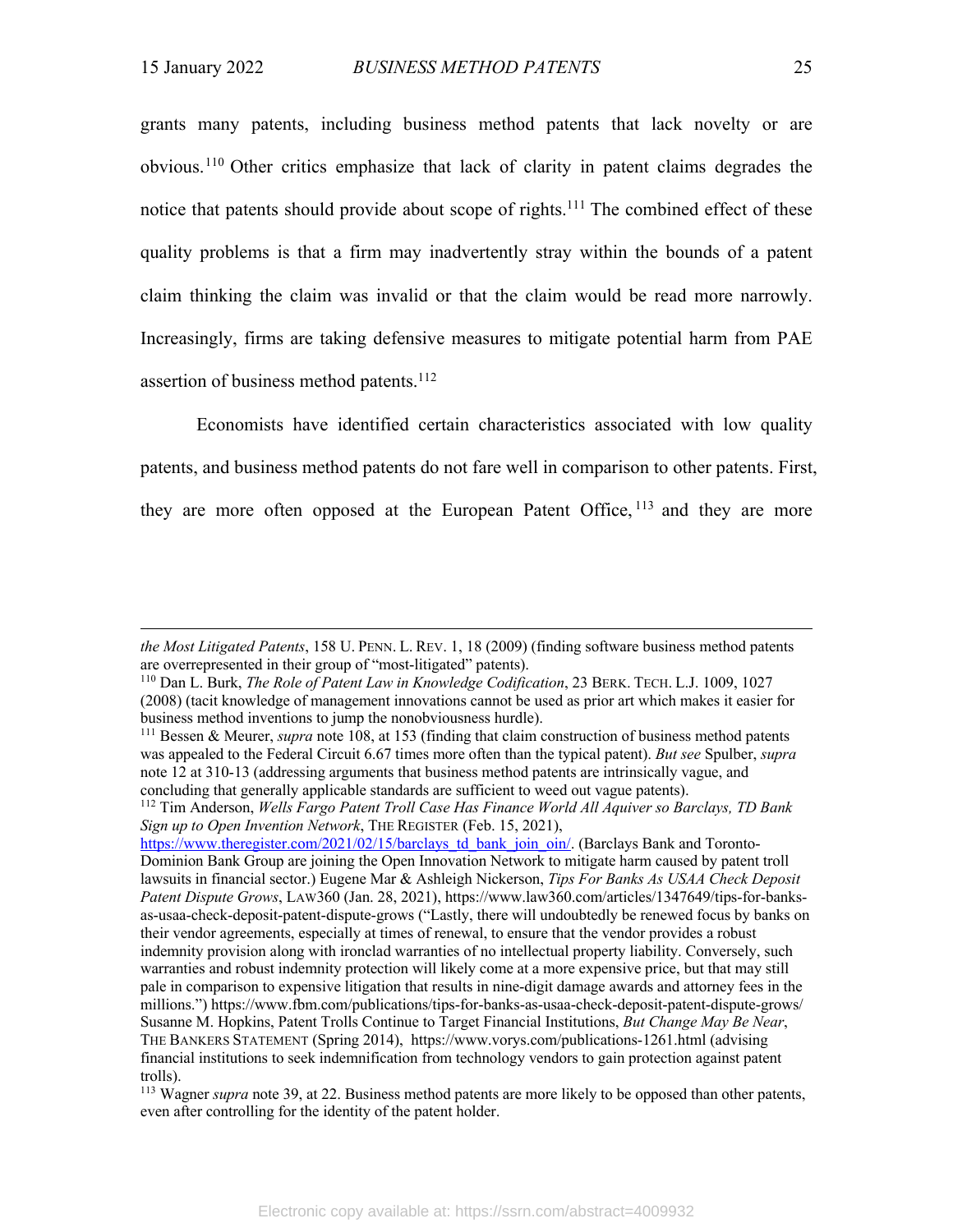grants many patents, including business method patents that lack novelty or are obvious. <sup>110</sup> Other critics emphasize that lack of clarity in patent claims degrades the notice that patents should provide about scope of rights.<sup>111</sup> The combined effect of these quality problems is that a firm may inadvertently stray within the bounds of a patent claim thinking the claim was invalid or that the claim would be read more narrowly. Increasingly, firms are taking defensive measures to mitigate potential harm from PAE assertion of business method patents.<sup>112</sup>

Economists have identified certain characteristics associated with low quality patents, and business method patents do not fare well in comparison to other patents. First, they are more often opposed at the European Patent Office,  $113$  and they are more

*the Most Litigated Patents*, 158 U. PENN. L. REV. 1, 18 (2009) (finding software business method patents are overrepresented in their group of "most-litigated" patents).

<sup>110</sup> Dan L. Burk, *The Role of Patent Law in Knowledge Codification*, 23 BERK. TECH. L.J. 1009, 1027 (2008) (tacit knowledge of management innovations cannot be used as prior art which makes it easier for business method inventions to jump the nonobviousness hurdle).

<sup>111</sup> Bessen & Meurer, *supra* note 108, at 153 (finding that claim construction of business method patents was appealed to the Federal Circuit 6.67 times more often than the typical patent). *But see* Spulber, *supra* note 12 at 310-13 (addressing arguments that business method patents are intrinsically vague, and concluding that generally applicable standards are sufficient to weed out vague patents).

<sup>112</sup> Tim Anderson, *Wells Fargo Patent Troll Case Has Finance World All Aquiver so Barclays, TD Bank Sign up to Open Invention Network*, THE REGISTER (Feb. 15, 2021),

https://www.theregister.com/2021/02/15/barclays\_td\_bank\_join\_oin/. (Barclays Bank and Toronto-Dominion Bank Group are joining the Open Innovation Network to mitigate harm caused by patent troll lawsuits in financial sector.) Eugene Mar & Ashleigh Nickerson, *Tips For Banks As USAA Check Deposit Patent Dispute Grows*, LAW360 (Jan. 28, 2021), https://www.law360.com/articles/1347649/tips-for-banksas-usaa-check-deposit-patent-dispute-grows ("Lastly, there will undoubtedly be renewed focus by banks on their vendor agreements, especially at times of renewal, to ensure that the vendor provides a robust indemnity provision along with ironclad warranties of no intellectual property liability. Conversely, such warranties and robust indemnity protection will likely come at a more expensive price, but that may still pale in comparison to expensive litigation that results in nine-digit damage awards and attorney fees in the millions.") https://www.fbm.com/publications/tips-for-banks-as-usaa-check-deposit-patent-dispute-grows/ Susanne M. Hopkins, Patent Trolls Continue to Target Financial Institutions, *But Change May Be Near*, THE BANKERS STATEMENT (Spring 2014), https://www.vorys.com/publications-1261.html (advising financial institutions to seek indemnification from technology vendors to gain protection against patent trolls).

<sup>113</sup> Wagner *supra* note 39, at 22. Business method patents are more likely to be opposed than other patents, even after controlling for the identity of the patent holder.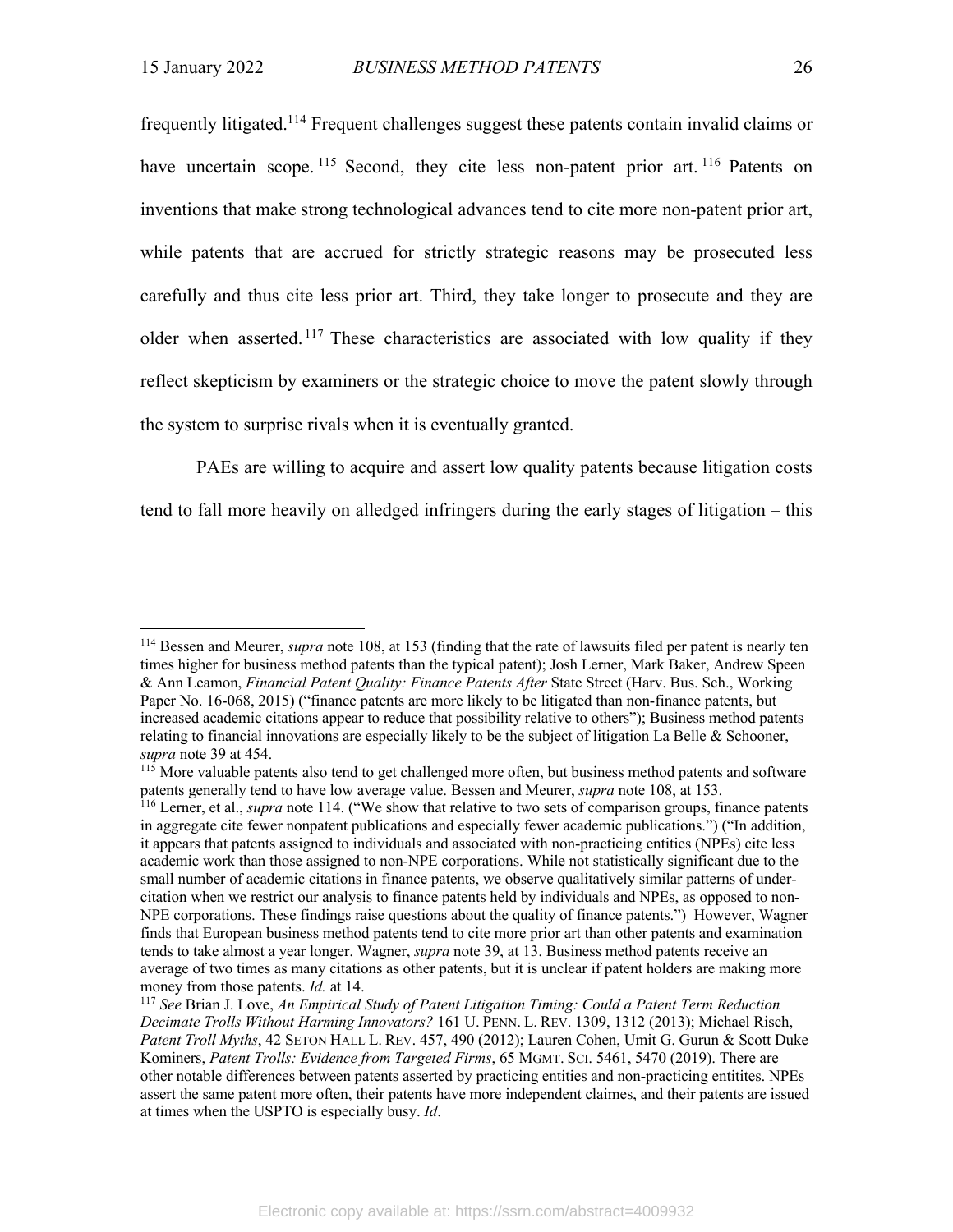frequently litigated.114 Frequent challenges suggest these patents contain invalid claims or have uncertain scope. <sup>115</sup> Second, they cite less non-patent prior art. <sup>116</sup> Patents on inventions that make strong technological advances tend to cite more non-patent prior art, while patents that are accrued for strictly strategic reasons may be prosecuted less carefully and thus cite less prior art. Third, they take longer to prosecute and they are older when asserted.<sup>117</sup> These characteristics are associated with low quality if they reflect skepticism by examiners or the strategic choice to move the patent slowly through the system to surprise rivals when it is eventually granted.

PAEs are willing to acquire and assert low quality patents because litigation costs tend to fall more heavily on alledged infringers during the early stages of litigation – this

<sup>114</sup> Bessen and Meurer, *supra* note 108, at 153 (finding that the rate of lawsuits filed per patent is nearly ten times higher for business method patents than the typical patent); Josh Lerner, Mark Baker, Andrew Speen & Ann Leamon, *Financial Patent Quality: Finance Patents After* State Street (Harv. Bus. Sch., Working Paper No. 16-068, 2015) ("finance patents are more likely to be litigated than non-finance patents, but increased academic citations appear to reduce that possibility relative to others"); Business method patents relating to financial innovations are especially likely to be the subject of litigation La Belle & Schooner, *supra* note 39 at 454.

<sup>&</sup>lt;sup>115</sup> More valuable patents also tend to get challenged more often, but business method patents and software patents generally tend to have low average value. Bessen and Meurer, *supra* note 108, at 153.

<sup>&</sup>lt;sup>116</sup> Lerner, et al., *supra* note 114. ("We show that relative to two sets of comparison groups, finance patents in aggregate cite fewer nonpatent publications and especially fewer academic publications.") ("In addition, it appears that patents assigned to individuals and associated with non-practicing entities (NPEs) cite less academic work than those assigned to non-NPE corporations. While not statistically significant due to the small number of academic citations in finance patents, we observe qualitatively similar patterns of undercitation when we restrict our analysis to finance patents held by individuals and NPEs, as opposed to non-NPE corporations. These findings raise questions about the quality of finance patents.") However, Wagner finds that European business method patents tend to cite more prior art than other patents and examination tends to take almost a year longer. Wagner, *supra* note 39, at 13. Business method patents receive an average of two times as many citations as other patents, but it is unclear if patent holders are making more money from those patents. *Id.* at 14.

<sup>117</sup> *See* Brian J. Love, *An Empirical Study of Patent Litigation Timing: Could a Patent Term Reduction Decimate Trolls Without Harming Innovators?* 161 U. PENN. L. REV. 1309, 1312 (2013); Michael Risch, *Patent Troll Myths*, 42 SETON HALL L. REV. 457, 490 (2012); Lauren Cohen, Umit G. Gurun & Scott Duke Kominers, *Patent Trolls: Evidence from Targeted Firms*, 65 MGMT. SCI. 5461, 5470 (2019). There are other notable differences between patents asserted by practicing entities and non-practicing entitites. NPEs assert the same patent more often, their patents have more independent claimes, and their patents are issued at times when the USPTO is especially busy. *Id*.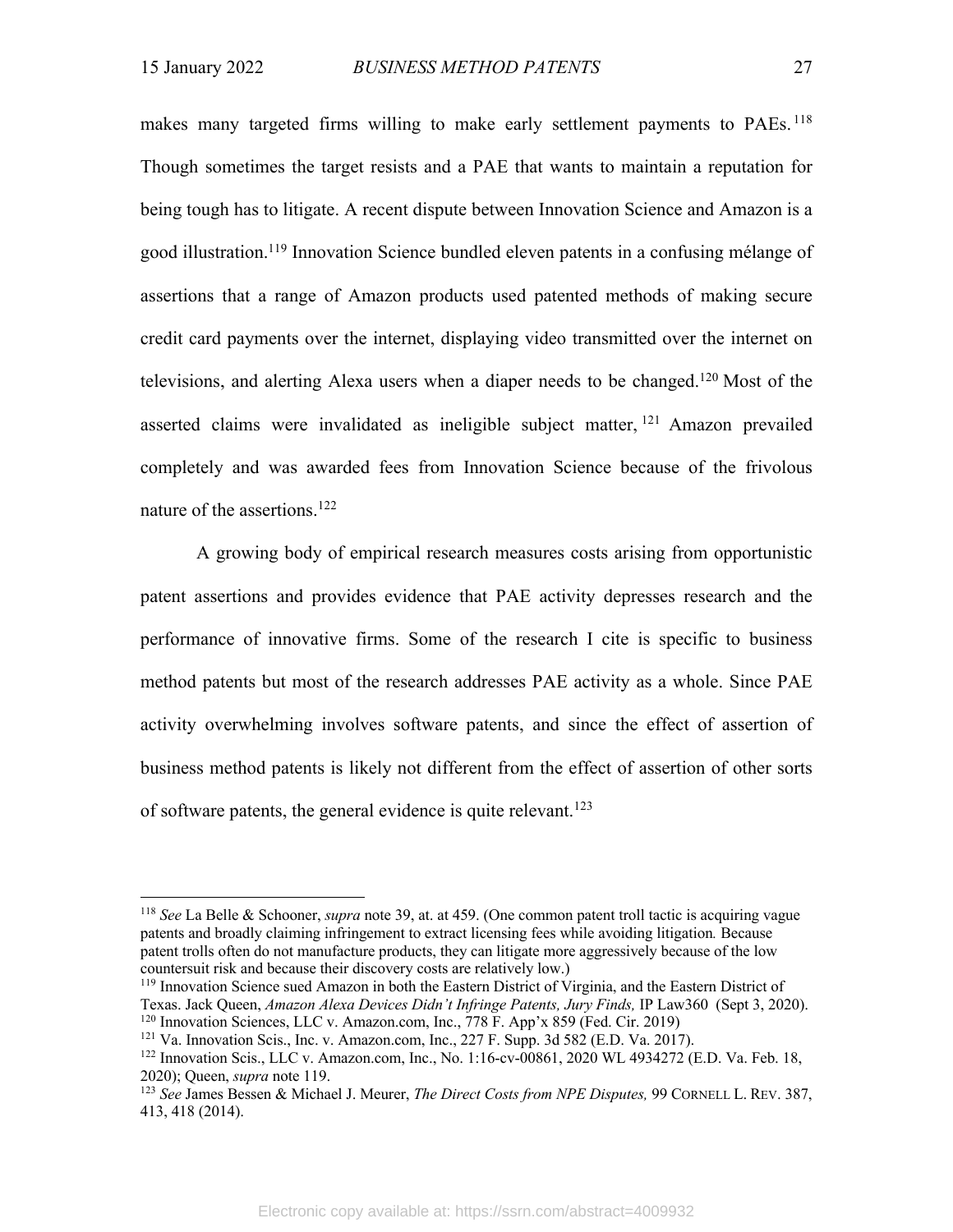makes many targeted firms willing to make early settlement payments to PAEs.<sup>118</sup> Though sometimes the target resists and a PAE that wants to maintain a reputation for being tough has to litigate. A recent dispute between Innovation Science and Amazon is a good illustration. <sup>119</sup> Innovation Science bundled eleven patents in a confusing mélange of assertions that a range of Amazon products used patented methods of making secure credit card payments over the internet, displaying video transmitted over the internet on televisions, and alerting Alexa users when a diaper needs to be changed.120 Most of the asserted claims were invalidated as ineligible subject matter,  $121$  Amazon prevailed completely and was awarded fees from Innovation Science because of the frivolous nature of the assertions.122

A growing body of empirical research measures costs arising from opportunistic patent assertions and provides evidence that PAE activity depresses research and the performance of innovative firms. Some of the research I cite is specific to business method patents but most of the research addresses PAE activity as a whole. Since PAE activity overwhelming involves software patents, and since the effect of assertion of business method patents is likely not different from the effect of assertion of other sorts of software patents, the general evidence is quite relevant.<sup>123</sup>

Texas. Jack Queen, *Amazon Alexa Devices Didn't Infringe Patents, Jury Finds,* IP Law360 (Sept 3, 2020). <sup>120</sup> Innovation Sciences, LLC v. Amazon.com, Inc., 778 F. App'x 859 (Fed. Cir. 2019)

<sup>118</sup> *See* La Belle & Schooner, *supra* note 39, at. at 459. (One common patent troll tactic is acquiring vague patents and broadly claiming infringement to extract licensing fees while avoiding litigation*.* Because patent trolls often do not manufacture products, they can litigate more aggressively because of the low countersuit risk and because their discovery costs are relatively low.)<br><sup>119</sup> Innovation Science sued Amazon in both the Eastern District of Virginia, and the Eastern District of

 $121$  Va. Innovation Scis., Inc. v. Amazon.com, Inc., 227 F. Supp. 3d 582 (E.D. Va. 2017).

<sup>122</sup> Innovation Scis., LLC v. Amazon.com, Inc., No. 1:16-cv-00861, 2020 WL 4934272 (E.D. Va. Feb. 18, 2020); Queen, *supra* note 119.

<sup>123</sup> *See* James Bessen & Michael J. Meurer, *The Direct Costs from NPE Disputes,* 99 CORNELL L. REV. 387, 413, 418 (2014).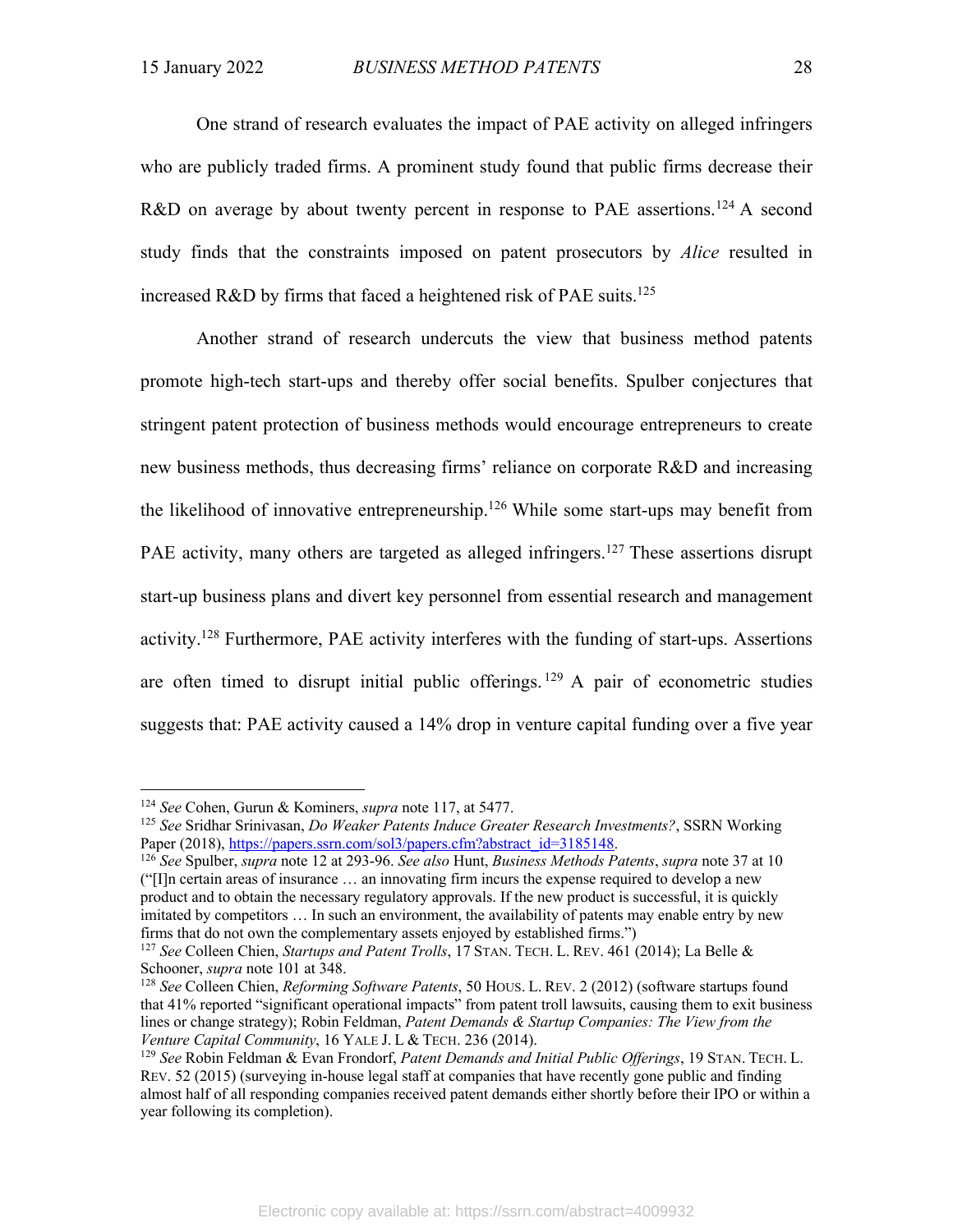One strand of research evaluates the impact of PAE activity on alleged infringers who are publicly traded firms. A prominent study found that public firms decrease their R&D on average by about twenty percent in response to PAE assertions.<sup>124</sup> A second study finds that the constraints imposed on patent prosecutors by *Alice* resulted in increased R&D by firms that faced a heightened risk of PAE suits.<sup>125</sup>

Another strand of research undercuts the view that business method patents promote high-tech start-ups and thereby offer social benefits. Spulber conjectures that stringent patent protection of business methods would encourage entrepreneurs to create new business methods, thus decreasing firms' reliance on corporate R&D and increasing the likelihood of innovative entrepreneurship.<sup>126</sup> While some start-ups may benefit from PAE activity, many others are targeted as alleged infringers.<sup>127</sup> These assertions disrupt start-up business plans and divert key personnel from essential research and management activity.128 Furthermore, PAE activity interferes with the funding of start-ups. Assertions are often timed to disrupt initial public offerings.  $129$  A pair of econometric studies suggests that: PAE activity caused a 14% drop in venture capital funding over a five year

<sup>124</sup> *See* Cohen, Gurun & Kominers, *supra* note 117, at 5477.

<sup>125</sup> *See* Sridhar Srinivasan, *Do Weaker Patents Induce Greater Research Investments?*, SSRN Working Paper (2018), https://papers.ssrn.com/sol3/papers.cfm?abstract\_id=3185148.

<sup>126</sup> *See* Spulber, *supra* note 12 at 293-96. *See also* Hunt, *Business Methods Patents*, *supra* note 37 at 10 ("[I]n certain areas of insurance … an innovating firm incurs the expense required to develop a new product and to obtain the necessary regulatory approvals. If the new product is successful, it is quickly imitated by competitors … In such an environment, the availability of patents may enable entry by new firms that do not own the complementary assets enjoyed by established firms.")

<sup>127</sup> *See* Colleen Chien, *Startups and Patent Trolls*, 17 STAN. TECH. L. REV. 461 (2014); La Belle & Schooner, *supra* note 101 at 348.

<sup>128</sup> *See* Colleen Chien, *Reforming Software Patents*, 50 HOUS. L. REV. 2 (2012) (software startups found that 41% reported "significant operational impacts" from patent troll lawsuits, causing them to exit business lines or change strategy); Robin Feldman, *Patent Demands & Startup Companies: The View from the Venture Capital Community*, 16 YALE J. L & TECH. 236 (2014).

<sup>129</sup> *See* Robin Feldman & Evan Frondorf, *Patent Demands and Initial Public Offerings*, 19 STAN. TECH. L. REV. 52 (2015) (surveying in-house legal staff at companies that have recently gone public and finding almost half of all responding companies received patent demands either shortly before their IPO or within a year following its completion).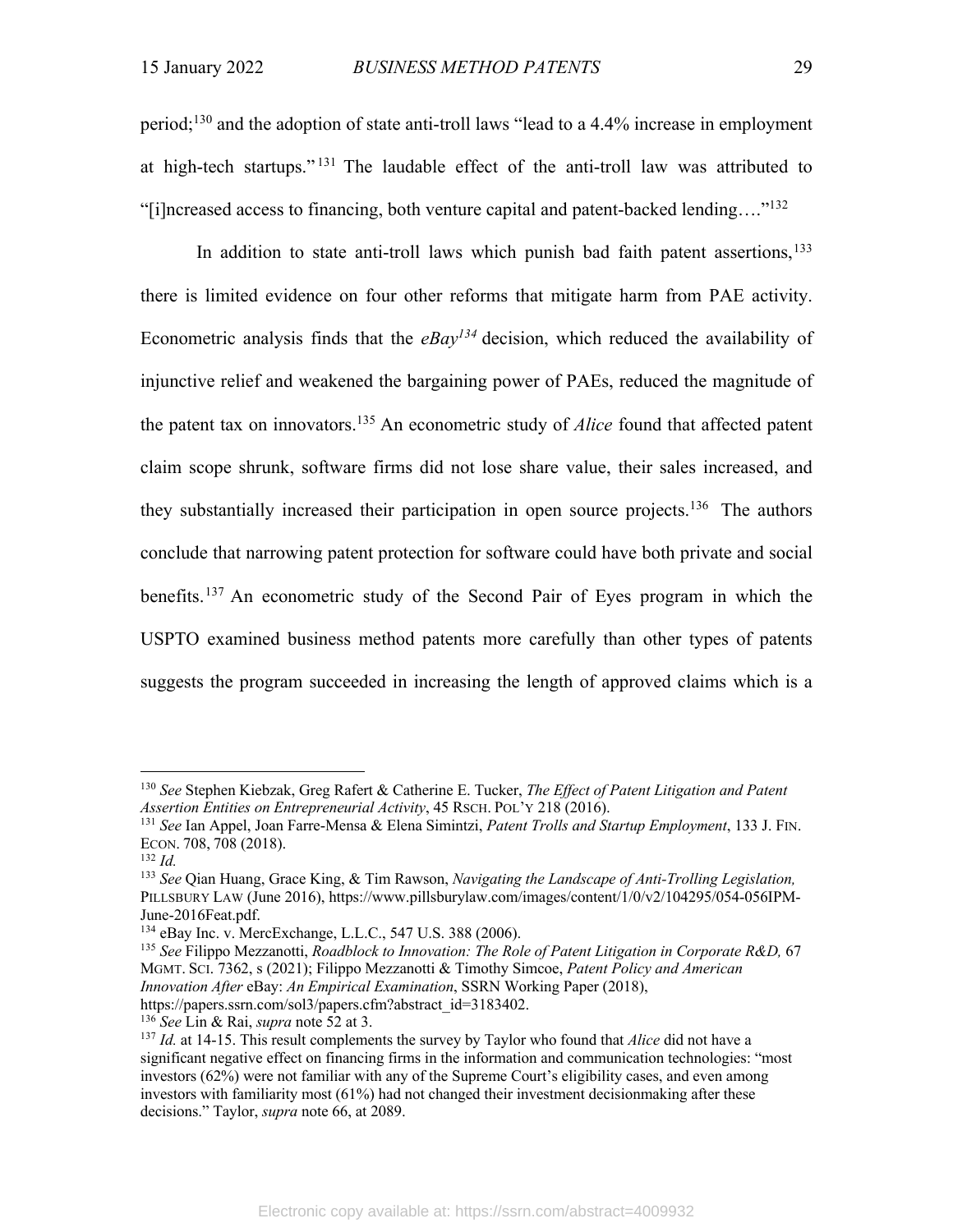period;<sup>130</sup> and the adoption of state anti-troll laws "lead to a 4.4% increase in employment at high-tech startups." <sup>131</sup> The laudable effect of the anti-troll law was attributed to "[i]ncreased access to financing, both venture capital and patent-backed lending…."132

In addition to state anti-troll laws which punish bad faith patent assertions,  $133$ there is limited evidence on four other reforms that mitigate harm from PAE activity. Econometric analysis finds that the *eBay134* decision, which reduced the availability of injunctive relief and weakened the bargaining power of PAEs, reduced the magnitude of the patent tax on innovators.135 An econometric study of *Alice* found that affected patent claim scope shrunk, software firms did not lose share value, their sales increased, and they substantially increased their participation in open source projects.<sup>136</sup> The authors conclude that narrowing patent protection for software could have both private and social benefits.137 An econometric study of the Second Pair of Eyes program in which the USPTO examined business method patents more carefully than other types of patents suggests the program succeeded in increasing the length of approved claims which is a

<sup>130</sup> *See* Stephen Kiebzak, Greg Rafert & Catherine E. Tucker, *The Effect of Patent Litigation and Patent Assertion Entities on Entrepreneurial Activity*, 45 RSCH. POL'Y 218 (2016).

<sup>131</sup> *See* Ian Appel, Joan Farre-Mensa & Elena Simintzi, *Patent Trolls and Startup Employment*, 133 J. FIN. ECON. 708, 708 (2018).

<sup>132</sup> *Id.*

<sup>133</sup> *See* Qian Huang, Grace King, & Tim Rawson, *Navigating the Landscape of Anti-Trolling Legislation,* PILLSBURY LAW (June 2016), https://www.pillsburylaw.com/images/content/1/0/v2/104295/054-056IPM-June-2016Feat.pdf.

<sup>134</sup> eBay Inc. v. MercExchange, L.L.C., 547 U.S. 388 (2006).

<sup>135</sup> *See* Filippo Mezzanotti, *Roadblock to Innovation: The Role of Patent Litigation in Corporate R&D,* 67 MGMT. SCI. 7362, s (2021); Filippo Mezzanotti & Timothy Simcoe, *Patent Policy and American Innovation After* eBay: *An Empirical Examination*, SSRN Working Paper (2018),

https://papers.ssrn.com/sol3/papers.cfm?abstract\_id=3183402.

<sup>136</sup> *See* Lin & Rai, *supra* note 52 at 3.

<sup>137</sup> *Id.* at 14-15. This result complements the survey by Taylor who found that *Alice* did not have a significant negative effect on financing firms in the information and communication technologies: "most investors (62%) were not familiar with any of the Supreme Court's eligibility cases, and even among investors with familiarity most (61%) had not changed their investment decisionmaking after these decisions." Taylor, *supra* note 66, at 2089.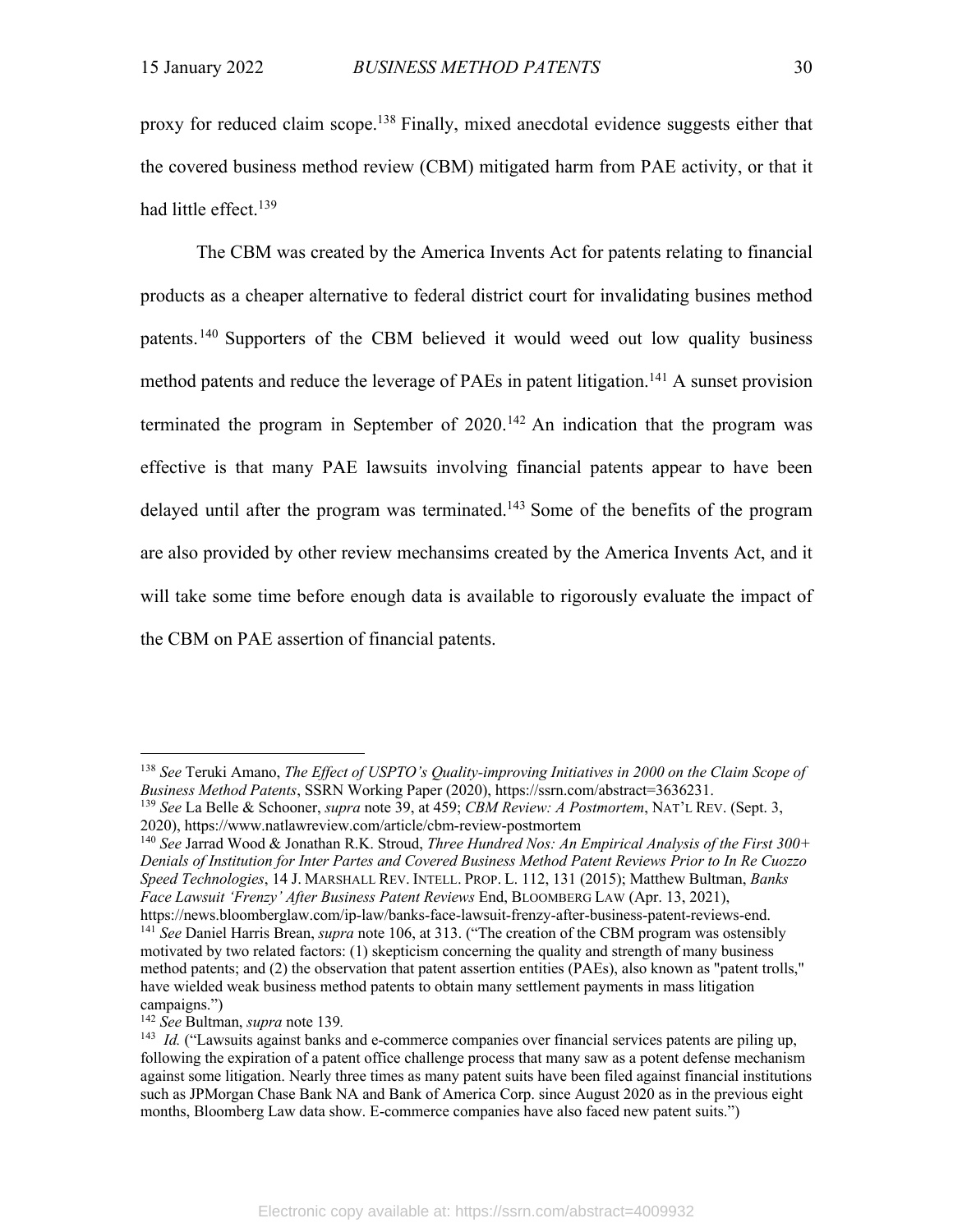proxy for reduced claim scope.<sup>138</sup> Finally, mixed anecdotal evidence suggests either that the covered business method review (CBM) mitigated harm from PAE activity, or that it had little effect. 139

The CBM was created by the America Invents Act for patents relating to financial products as a cheaper alternative to federal district court for invalidating busines method patents.140 Supporters of the CBM believed it would weed out low quality business method patents and reduce the leverage of PAEs in patent litigation.<sup>141</sup> A sunset provision terminated the program in September of  $2020$ .<sup>142</sup> An indication that the program was effective is that many PAE lawsuits involving financial patents appear to have been delayed until after the program was terminated.<sup>143</sup> Some of the benefits of the program are also provided by other review mechansims created by the America Invents Act, and it will take some time before enough data is available to rigorously evaluate the impact of the CBM on PAE assertion of financial patents.

<sup>138</sup> *See* Teruki Amano, *The Effect of USPTO's Quality-improving Initiatives in 2000 on the Claim Scope of Business Method Patents*, SSRN Working Paper (2020), https://ssrn.com/abstract=3636231.

<sup>139</sup> *See* La Belle & Schooner, *supra* note 39, at 459; *CBM Review: A Postmortem*, NAT'L REV. (Sept. 3, 2020), https://www.natlawreview.com/article/cbm-review-postmortem

<sup>140</sup> *See* Jarrad Wood & Jonathan R.K. Stroud, *Three Hundred Nos: An Empirical Analysis of the First 300+ Denials of Institution for Inter Partes and Covered Business Method Patent Reviews Prior to In Re Cuozzo Speed Technologies*, 14 J. MARSHALL REV. INTELL. PROP. L. 112, 131 (2015); Matthew Bultman, *Banks Face Lawsuit 'Frenzy' After Business Patent Reviews* End, BLOOMBERG LAW (Apr. 13, 2021), https://news.bloomberglaw.com/ip-law/banks-face-lawsuit-frenzy-after-business-patent-reviews-end.

<sup>141</sup> *See* Daniel Harris Brean, *supra* note 106, at 313. ("The creation of the CBM program was ostensibly motivated by two related factors: (1) skepticism concerning the quality and strength of many business method patents; and (2) the observation that patent assertion entities (PAEs), also known as "patent trolls," have wielded weak business method patents to obtain many settlement payments in mass litigation campaigns.")

<sup>142</sup> *See* Bultman, *supra* note 139*.*

<sup>&</sup>lt;sup>143</sup> *Id.* ("Lawsuits against banks and e-commerce companies over financial services patents are piling up, following the expiration of a patent office challenge process that many saw as a potent defense mechanism against some litigation. Nearly three times as many patent suits have been filed against financial institutions such as JPMorgan Chase Bank NA and Bank of America Corp. since August 2020 as in the previous eight months, Bloomberg Law data show. E-commerce companies have also faced new patent suits.")